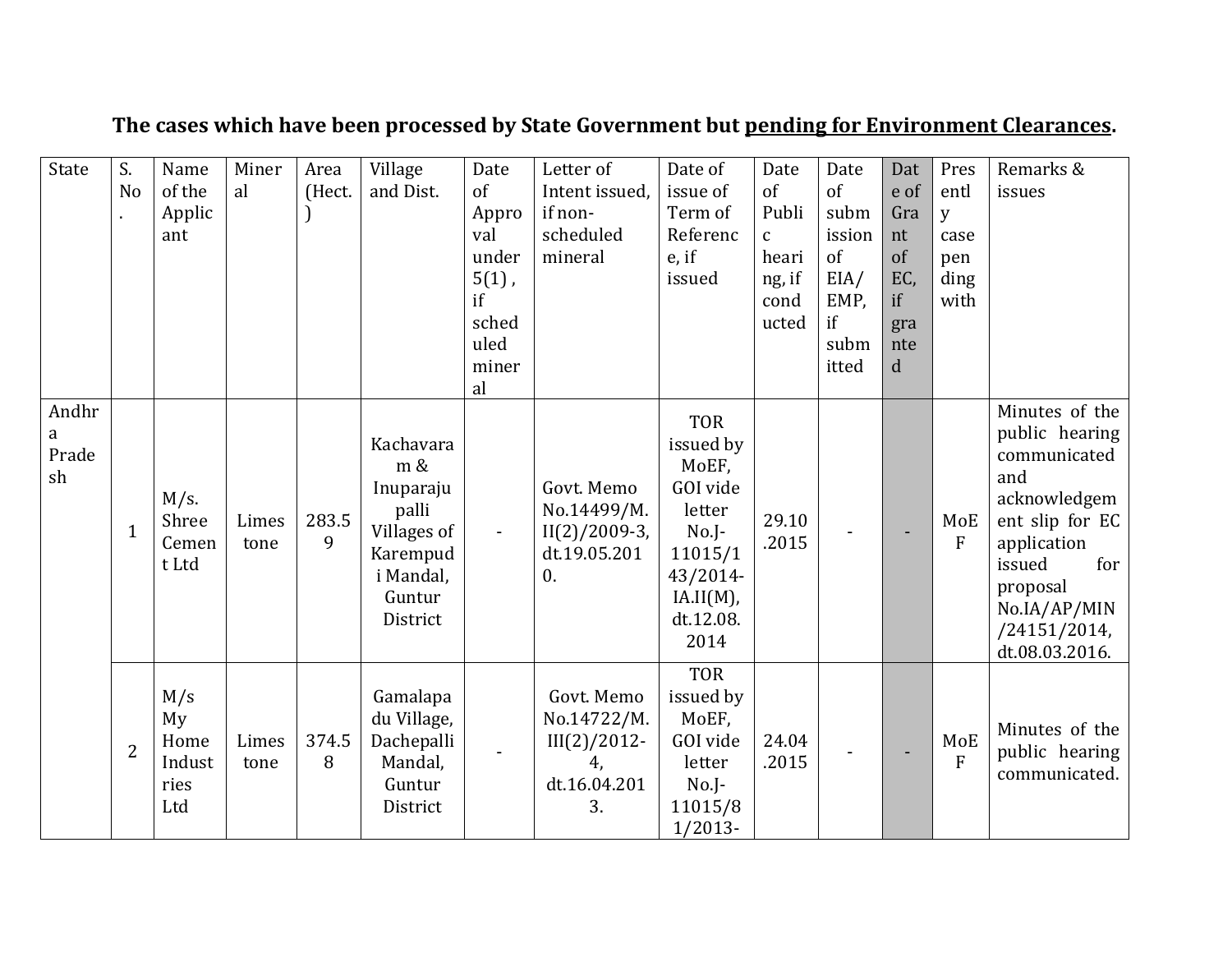| State                     | S.<br>N <sub>0</sub> | Name<br>of the<br>Applic<br>ant            | Miner<br>al   | Area<br>(Hect. | Village<br>and Dist.                                                                                 | Date<br>of<br>Appro<br>val<br>under<br>$5(1)$ ,<br>if<br>sched<br>uled<br>miner<br>al | Letter of<br>Intent issued,<br>if non-<br>scheduled<br>mineral                   | Date of<br>issue of<br>Term of<br>Referenc<br>$e$ , if<br>issued                                                              | Date<br>of<br>Publi<br>$\mathbf{C}$<br>heari<br>ng, if<br>cond<br>ucted | Date<br>of<br>subm<br>ission<br>of<br>EIA/<br>EMP,<br>if<br>subm<br>itted | Dat<br>e of<br>Gra<br>nt<br>of<br>EC,<br>if<br>gra<br>nte<br>$\mathbf d$ | Pres<br>entl<br>y<br>case<br>pen<br>ding<br>with | Remarks &<br>issues                                                                                                                                                                      |
|---------------------------|----------------------|--------------------------------------------|---------------|----------------|------------------------------------------------------------------------------------------------------|---------------------------------------------------------------------------------------|----------------------------------------------------------------------------------|-------------------------------------------------------------------------------------------------------------------------------|-------------------------------------------------------------------------|---------------------------------------------------------------------------|--------------------------------------------------------------------------|--------------------------------------------------|------------------------------------------------------------------------------------------------------------------------------------------------------------------------------------------|
| Andhr<br>a<br>Prade<br>sh | $\mathbf{1}$         | $M/s$ .<br>Shree<br>Cemen<br>t Ltd         | Limes<br>tone | 283.5<br>9     | Kachavara<br>m &<br>Inuparaju<br>palli<br>Villages of<br>Karempud<br>i Mandal,<br>Guntur<br>District | $\blacksquare$                                                                        | Govt. Memo<br>No.14499/M.<br>$II(2)/2009-3,$<br>dt.19.05.201<br>$\overline{0}$ . | <b>TOR</b><br>issued by<br>MoEF,<br>GOI vide<br>letter<br>$No.J-$<br>11015/1<br>43/2014-<br>$IA.II(M)$ ,<br>dt.12.08.<br>2014 | 29.10<br>.2015                                                          |                                                                           |                                                                          | MoE<br>${\bf F}$                                 | Minutes of the<br>public hearing<br>communicated<br>and<br>acknowledgem<br>ent slip for EC<br>application<br>issued<br>for<br>proposal<br>No.IA/AP/MIN<br>/24151/2014,<br>dt.08.03.2016. |
|                           | $\overline{2}$       | M/s<br>My<br>Home<br>Indust<br>ries<br>Ltd | Limes<br>tone | 374.5<br>8     | Gamalapa<br>du Village,<br>Dachepalli<br>Mandal,<br>Guntur<br>District                               |                                                                                       | Govt. Memo<br>No.14722/M.<br>$III(2)/2012$ -<br>4,<br>dt.16.04.201<br>3.         | <b>TOR</b><br>issued by<br>MoEF,<br>GOI vide<br>letter<br>$No.J-$<br>11015/8<br>$1/2013-$                                     | 24.04<br>.2015                                                          |                                                                           |                                                                          | MoE<br>$\overline{F}$                            | Minutes of the<br>public hearing<br>communicated.                                                                                                                                        |

## **The cases which have been processed by State Government but pending for Environment Clearances.**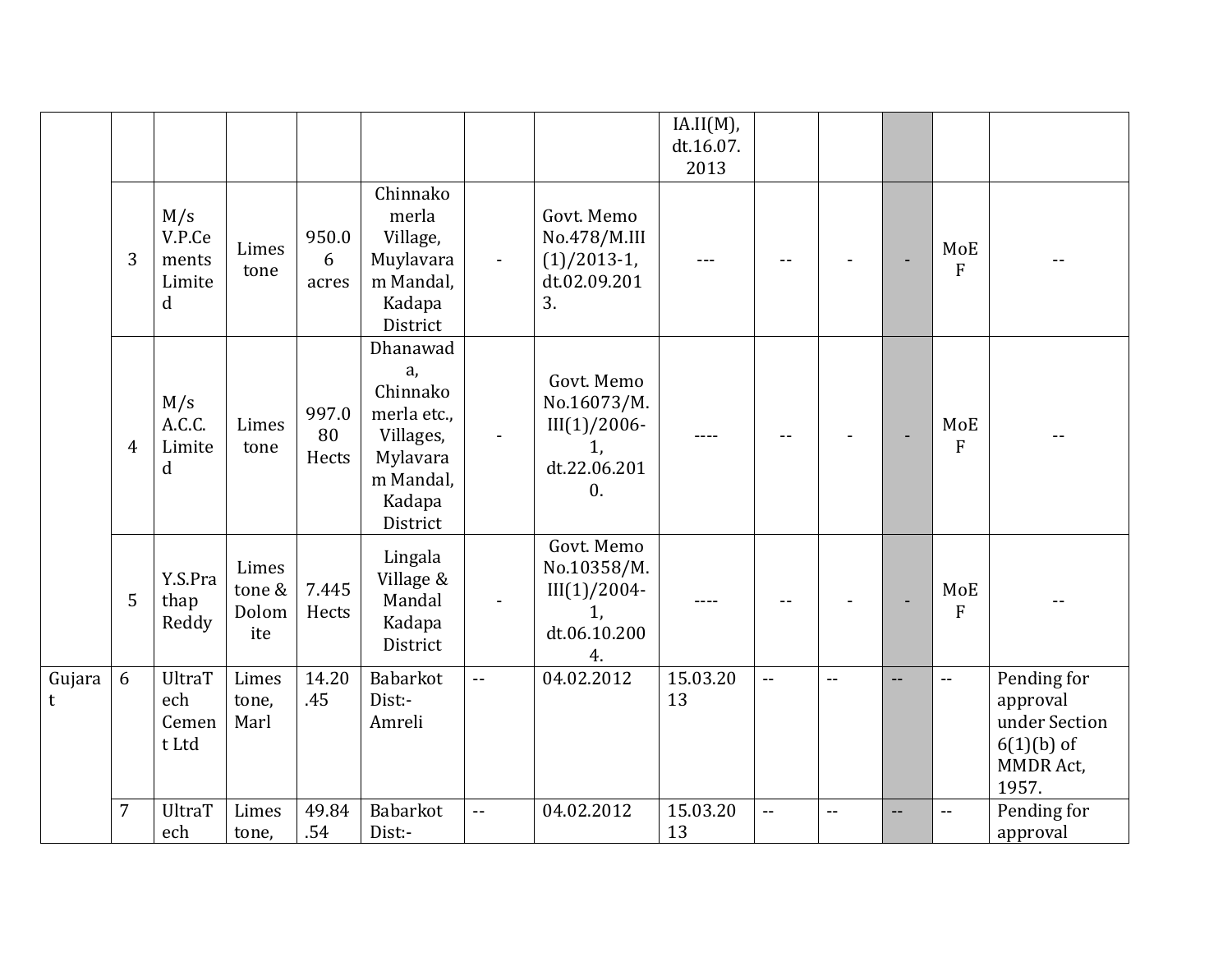|             |                |                                                 |                                 |                      |                                                                                                       |                |                                                                                     | IA.II(M),<br>dt.16.07.<br>2013 |                |     |     |                       |                                                                                       |
|-------------|----------------|-------------------------------------------------|---------------------------------|----------------------|-------------------------------------------------------------------------------------------------------|----------------|-------------------------------------------------------------------------------------|--------------------------------|----------------|-----|-----|-----------------------|---------------------------------------------------------------------------------------|
|             | 3              | M/s<br>V.P.Ce<br>ments<br>Limite<br>$\mathbf d$ | Limes<br>tone                   | 950.0<br>6<br>acres  | Chinnako<br>merla<br>Village,<br>Muylavara<br>m Mandal,<br>Kadapa<br>District                         | $\blacksquare$ | Govt. Memo<br>No.478/M.III<br>$(1)/2013-1$ ,<br>dt.02.09.201<br>3.                  |                                |                |     |     | MoE<br>$\overline{F}$ |                                                                                       |
|             | $\overline{4}$ | M/s<br>A.C.C.<br>Limite<br>d                    | Limes<br>tone                   | 997.0<br>80<br>Hects | Dhanawad<br>a,<br>Chinnako<br>merla etc.,<br>Villages,<br>Mylavara<br>m Mandal,<br>Kadapa<br>District |                | Govt. Memo<br>No.16073/M.<br>$III(1)/2006-$<br>1,<br>dt.22.06.201<br>$\mathbf{0}$ . |                                |                |     |     | MoE<br>$\overline{F}$ |                                                                                       |
|             | 5              | Y.S.Pra<br>thap<br>Reddy                        | Limes<br>tone &<br>Dolom<br>ite | 7.445<br>Hects       | Lingala<br>Village &<br>Mandal<br>Kadapa<br>District                                                  |                | Govt. Memo<br>No.10358/M.<br>$III(1)/2004-$<br>1,<br>dt.06.10.200<br>4.             |                                |                |     |     | MoE<br>$\overline{F}$ |                                                                                       |
| Gujara<br>t | 6              | <b>UltraT</b><br>ech<br>Cemen<br>t Ltd          | Limes<br>tone,<br>Marl          | 14.20<br>.45         | Babarkot<br>Dist:-<br>Amreli                                                                          | $\overline{a}$ | 04.02.2012                                                                          | 15.03.20<br>13                 | $- -$          | $-$ | $-$ | $- -$                 | Pending for<br>approval<br>under Section<br>$6(1)(b)$ of<br><b>MMDR Act,</b><br>1957. |
|             | $\overline{7}$ | UltraT<br>ech                                   | Limes<br>tone,                  | 49.84<br>.54         | Babarkot<br>Dist:-                                                                                    | $\mathbf{u}$   | 04.02.2012                                                                          | 15.03.20<br>13                 | $\overline{a}$ | $-$ | --  |                       | Pending for<br>approval                                                               |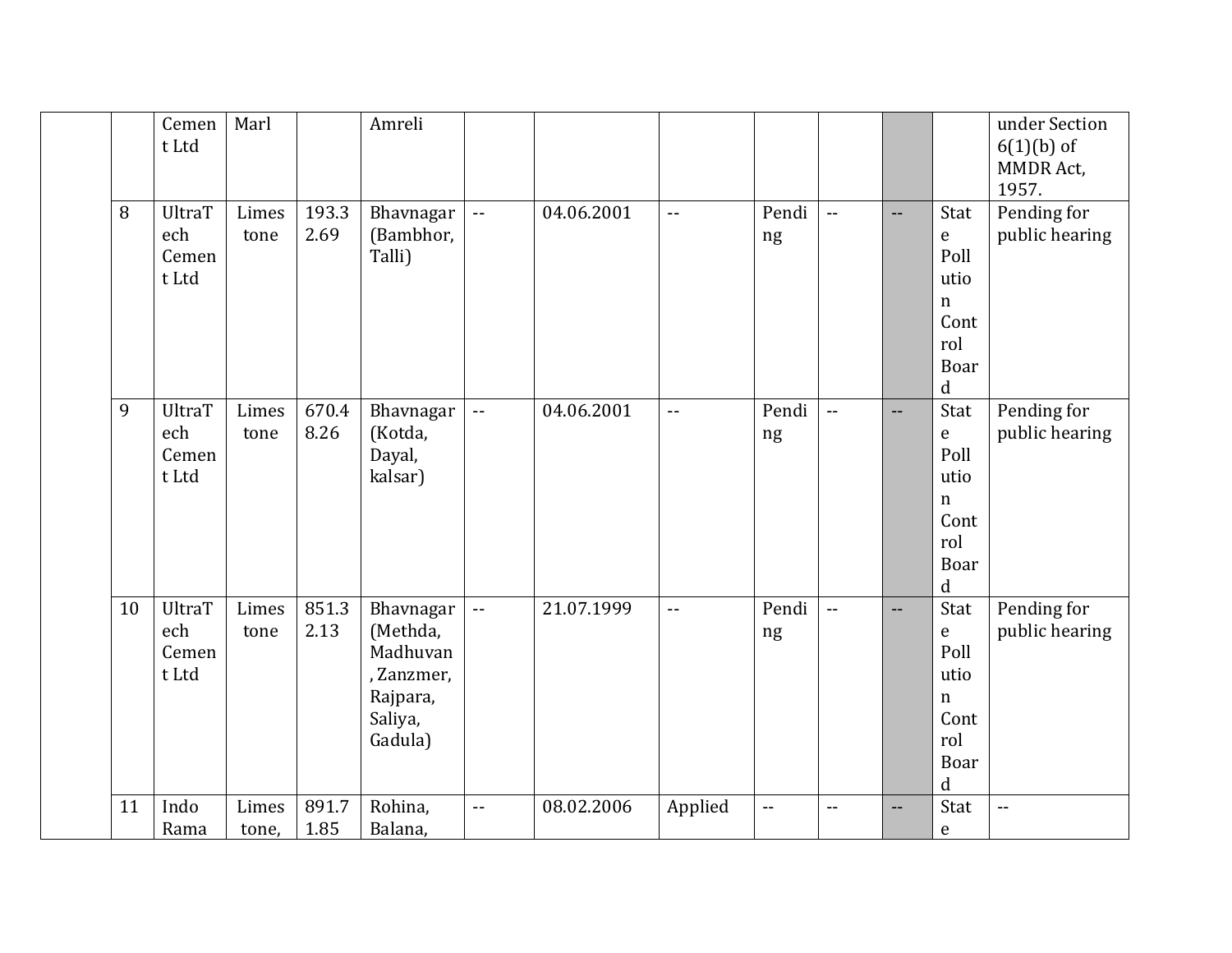|    | Cemen<br>t Ltd                         | Marl           |               | Amreli                                                                            |                          |            |                |                                               |                |                          |                                                                                          | under Section<br>$6(1)(b)$ of<br><b>MMDR Act,</b><br>1957. |
|----|----------------------------------------|----------------|---------------|-----------------------------------------------------------------------------------|--------------------------|------------|----------------|-----------------------------------------------|----------------|--------------------------|------------------------------------------------------------------------------------------|------------------------------------------------------------|
| 8  | <b>UltraT</b><br>ech<br>Cemen<br>t Ltd | Limes<br>tone  | 193.3<br>2.69 | Bhavnagar<br>(Bambhor,<br>Talli)                                                  | $\pm\pm$                 | 04.06.2001 | $\overline{a}$ | Pendi<br>ng                                   | $\sim$ $\sim$  | $-$                      | Stat<br>$\mathsf e$<br>Poll<br>utio<br>$\mathbf n$<br>Cont<br>rol<br>Boar<br>$\mathbf d$ | Pending for<br>public hearing                              |
| 9  | <b>UltraT</b><br>ech<br>Cemen<br>t Ltd | Limes<br>tone  | 670.4<br>8.26 | Bhavnagar<br>(Kotda,<br>Dayal,<br>kalsar)                                         | $\overline{\phantom{a}}$ | 04.06.2001 | $\overline{a}$ | Pendi<br>ng                                   | $\overline{a}$ | $\overline{\phantom{a}}$ | Stat<br>${\bf e}$<br>Poll<br>utio<br>$\mathbf n$<br>Cont<br>rol<br>Boar<br>$\mathbf d$   | Pending for<br>public hearing                              |
| 10 | <b>UltraT</b><br>ech<br>Cemen<br>t Ltd | Limes<br>tone  | 851.3<br>2.13 | Bhavnagar<br>(Methda,<br>Madhuvan<br>, Zanzmer,<br>Rajpara,<br>Saliya,<br>Gadula) | $\overline{\phantom{a}}$ | 21.07.1999 | $\overline{a}$ | Pendi<br>ng                                   | $\sim$ $\sim$  | $-$                      | Stat<br>$\mathbf e$<br>Poll<br>utio<br>$\mathbf n$<br>Cont<br>rol<br>Boar<br>d           | Pending for<br>public hearing                              |
| 11 | Indo<br>Rama                           | Limes<br>tone, | 891.7<br>1.85 | Rohina,<br>Balana,                                                                | $\overline{\phantom{a}}$ | 08.02.2006 | Applied        | $\mathord{\hspace{1pt}\text{--}\hspace{1pt}}$ | $-$            | $-$                      | Stat<br>$\mathsf e$                                                                      | $\overline{\phantom{a}}$                                   |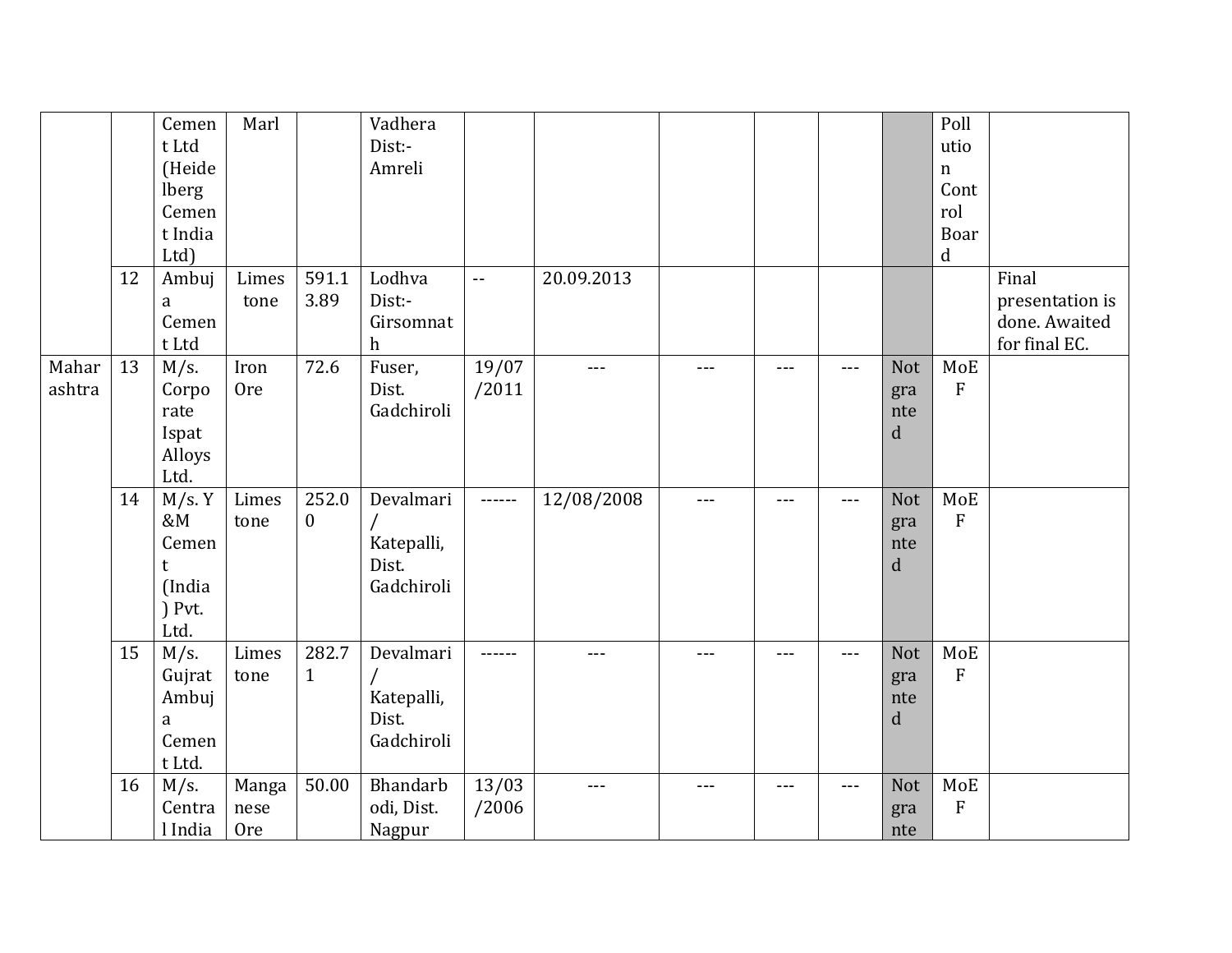|                 |    | Cemen<br>t Ltd<br>(Heide<br>lberg<br>Cemen<br>t India<br>Ltd) | Marl                        |                       | Vadhera<br>Dist:-<br>Amreli                    |                |            |       |       |     |                                  | Poll<br>utio<br>$\mathbf n$<br>Cont<br>rol<br>Boar<br>$\mathbf d$ |                                                            |
|-----------------|----|---------------------------------------------------------------|-----------------------------|-----------------------|------------------------------------------------|----------------|------------|-------|-------|-----|----------------------------------|-------------------------------------------------------------------|------------------------------------------------------------|
|                 | 12 | Ambuj<br>a<br>Cemen<br>t Ltd                                  | Limes<br>tone               | 591.1<br>3.89         | Lodhva<br>Dist:-<br>Girsomnat<br>h             | $-$            | 20.09.2013 |       |       |     |                                  |                                                                   | Final<br>presentation is<br>done. Awaited<br>for final EC. |
| Mahar<br>ashtra | 13 | $M/s$ .<br>Corpo<br>rate<br>Ispat<br>Alloys<br>Ltd.           | Iron<br><b>Ore</b>          | 72.6                  | Fuser,<br>Dist.<br>Gadchiroli                  | 19/07<br>/2011 | $---$      |       | ---   | --- | Not<br>gra<br>nte<br>$\mathbf d$ | MoE<br>${\bf F}$                                                  |                                                            |
|                 | 14 | M/s. Y<br>&M<br>Cemen<br>t<br>(India<br>$)$ Pvt.<br>Ltd.      | Limes<br>tone               | 252.0<br>$\mathbf{0}$ | Devalmari<br>Katepalli,<br>Dist.<br>Gadchiroli | ------         | 12/08/2008 | $---$ | $---$ | --- | Not<br>gra<br>nte<br>d           | MoE<br>${\bf F}$                                                  |                                                            |
|                 | 15 | M/s.<br>Gujrat<br>Ambuj<br>a<br>Cemen<br>t Ltd.               | Limes<br>tone               | 282.7<br>$\mathbf{1}$ | Devalmari<br>Katepalli,<br>Dist.<br>Gadchiroli | ------         | $---$      | $---$ | ---   | --- | Not<br>gra<br>nte<br>d           | MoE<br>${\bf F}$                                                  |                                                            |
|                 | 16 | $M/s$ .<br>Centra<br>l India                                  | Manga<br>nese<br><b>Ore</b> | 50.00                 | Bhandarb<br>odi, Dist.<br>Nagpur               | 13/03<br>/2006 | $--$       |       | $---$ | --- | Not<br>gra<br>nte                | MoE<br>${\bf F}$                                                  |                                                            |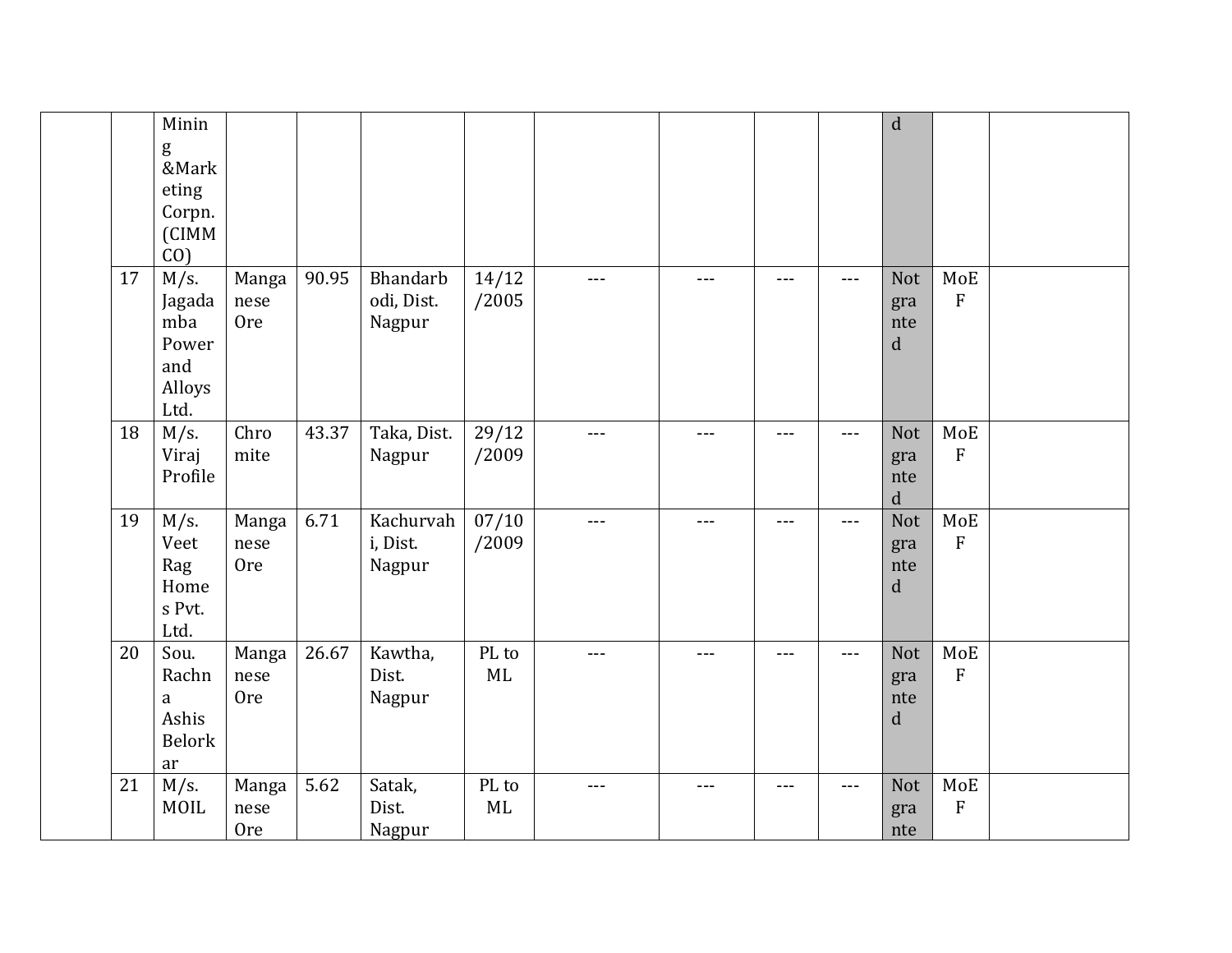|    | Minin                                                      |                             |       |                                  |                |       |       |         |                      | $\mathbf d$                             |                                            |  |
|----|------------------------------------------------------------|-----------------------------|-------|----------------------------------|----------------|-------|-------|---------|----------------------|-----------------------------------------|--------------------------------------------|--|
|    | g<br>&Mark<br>eting<br>Corpn.<br>(CIMM<br>$CO$ )           |                             |       |                                  |                |       |       |         |                      |                                         |                                            |  |
| 17 | $M/s$ .<br>Jagada<br>mba<br>Power<br>and<br>Alloys<br>Ltd. | Manga<br>nese<br><b>Ore</b> | 90.95 | Bhandarb<br>odi, Dist.<br>Nagpur | 14/12<br>/2005 |       | ---   | $- - -$ | $---$                | <b>Not</b><br>gra<br>nte<br>$\mathbf d$ | MoE<br>${\bf F}$                           |  |
| 18 | $M/s$ .<br>Viraj<br>Profile                                | Chro<br>mite                | 43.37 | Taka, Dist.<br>Nagpur            | 29/12<br>/2009 |       | $---$ | $--$    | $\qquad \qquad - -$  | <b>Not</b><br>gra<br>nte<br>$\mathbf d$ | $\operatorname{\mathsf{MoE}}$<br>${\bf F}$ |  |
| 19 | $M/s$ .<br>Veet<br>Rag<br>Home<br>s Pvt.<br>Ltd.           | Manga<br>nese<br><b>Ore</b> | 6.71  | Kachurvah<br>i, Dist.<br>Nagpur  | 07/10<br>/2009 |       | ---   |         | $---$                | <b>Not</b><br>gra<br>nte<br>$\mathbf d$ | MoE<br>${\bf F}$                           |  |
| 20 | Sou.<br>Rachn<br>a<br>Ashis<br><b>Belork</b><br>ar         | Manga<br>nese<br><b>Ore</b> | 26.67 | Kawtha,<br>Dist.<br>Nagpur       | PL to<br>ML    | $---$ | ---   | ---     | $---$                | <b>Not</b><br>gra<br>nte<br>d           | MoE<br>${\bf F}$                           |  |
| 21 | $M/s$ .<br>MOIL                                            | Manga<br>nese<br><b>Ore</b> | 5.62  | Satak,<br>Dist.<br>Nagpur        | PL to<br>ML    | $---$ | $---$ | $- - -$ | $\sim$ $\sim$ $\sim$ | <b>Not</b><br>gra<br>nte                | MoE<br>${\bf F}$                           |  |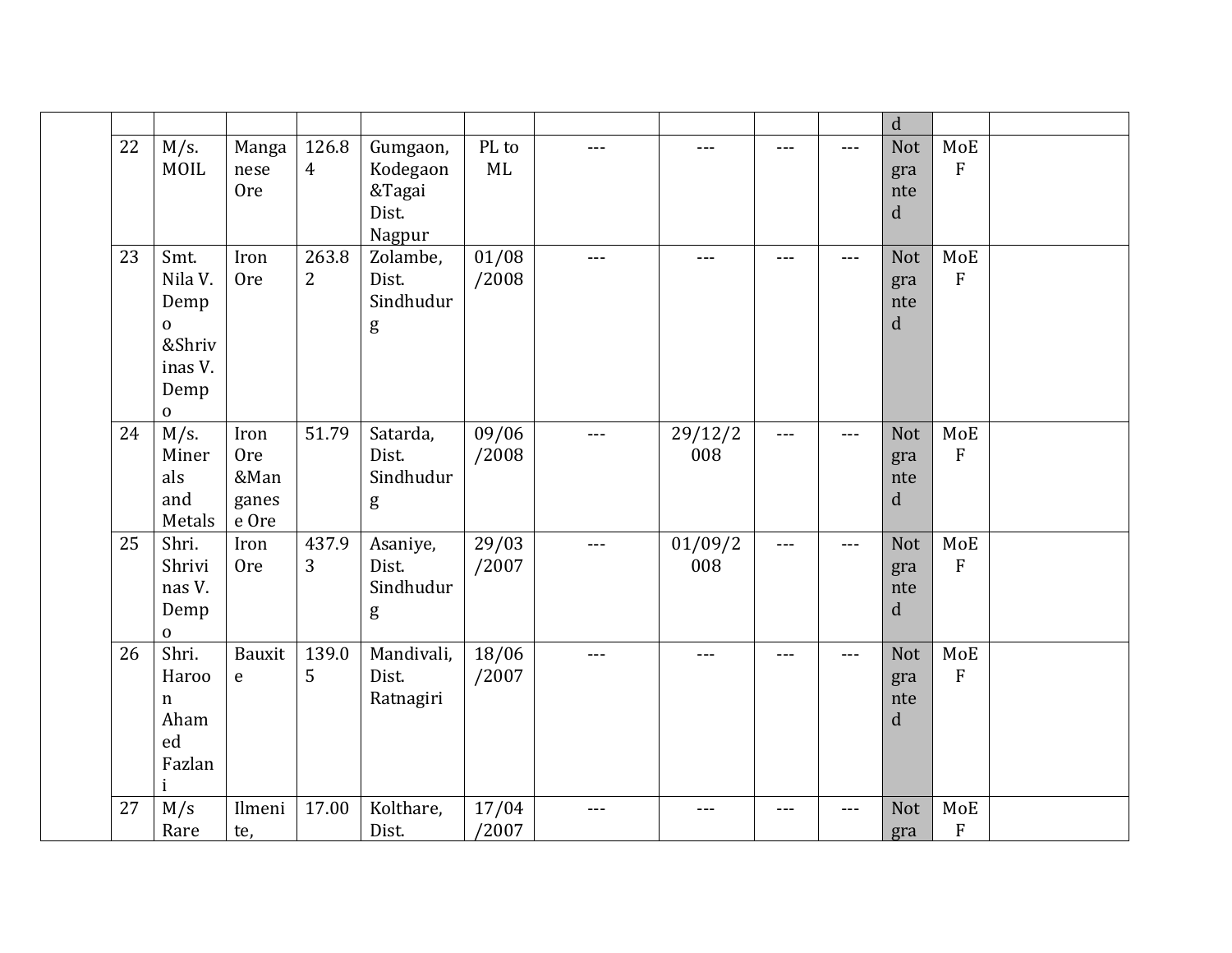|    |                                                                                     |                                              |                         |                                                   |                |       |                     |       |       | $\mathbf d$                             |                                                 |  |
|----|-------------------------------------------------------------------------------------|----------------------------------------------|-------------------------|---------------------------------------------------|----------------|-------|---------------------|-------|-------|-----------------------------------------|-------------------------------------------------|--|
| 22 | M/s.<br>MOIL                                                                        | Manga<br>nese<br><b>Ore</b>                  | 126.8<br>$\overline{4}$ | Gumgaon,<br>Kodegaon<br>&Tagai<br>Dist.<br>Nagpur | PL to<br>ML    | ---   | $---$               |       | $---$ | Not<br>gra<br>nte<br>d                  | MoE<br>$\mathbf{F}$                             |  |
| 23 | Smt.<br>Nila V.<br>Demp<br>$\mathbf{0}$<br>&Shriv<br>inas V.<br>Demp<br>$\mathbf 0$ | Iron<br><b>Ore</b>                           | 263.8<br>$\overline{2}$ | Zolambe,<br>Dist.<br>Sindhudur<br>g               | 01/08<br>/2008 | $---$ | $---$               | ---   | $---$ | <b>Not</b><br>gra<br>nte<br>$\mathbf d$ | MoE<br>$\overline{F}$                           |  |
| 24 | $M/s$ .<br>Miner<br>als<br>and<br>Metals                                            | Iron<br><b>Ore</b><br>&Man<br>ganes<br>e Ore | 51.79                   | Satarda,<br>Dist.<br>Sindhudur<br>g               | 09/06<br>/2008 | $---$ | 29/12/2<br>008      | $---$ | ---   | <b>Not</b><br>gra<br>nte<br>$\mathbf d$ | $\operatorname{\mathsf{MoE}}$<br>$\overline{F}$ |  |
| 25 | Shri.<br>Shrivi<br>nas V.<br>Demp<br>$\mathbf 0$                                    | Iron<br><b>Ore</b>                           | 437.9<br>3              | Asaniye,<br>Dist.<br>Sindhudur<br>g               | 29/03<br>/2007 | $---$ | 01/09/2<br>008      | ---   | $---$ | <b>Not</b><br>gra<br>nte<br>$\mathbf d$ | MoE<br>$\overline{F}$                           |  |
| 26 | Shri.<br>Haroo<br>$\mathbf n$<br>Aham<br>ed<br>Fazlan                               | Bauxit<br>$\mathbf{e}$                       | 139.0<br>5              | Mandivali,<br>Dist.<br>Ratnagiri                  | 18/06<br>/2007 | $---$ | $---$               | ---   | $---$ | <b>Not</b><br>gra<br>nte<br>d           | MoE<br>$\boldsymbol{\mathrm{F}}$                |  |
| 27 | M/s<br>Rare                                                                         | Ilmeni<br>te,                                | 17.00                   | Kolthare,<br>Dist.                                | 17/04<br>/2007 | $---$ | $\qquad \qquad - -$ | $---$ | $---$ | <b>Not</b><br>gra                       | MoE<br>${\bf F}$                                |  |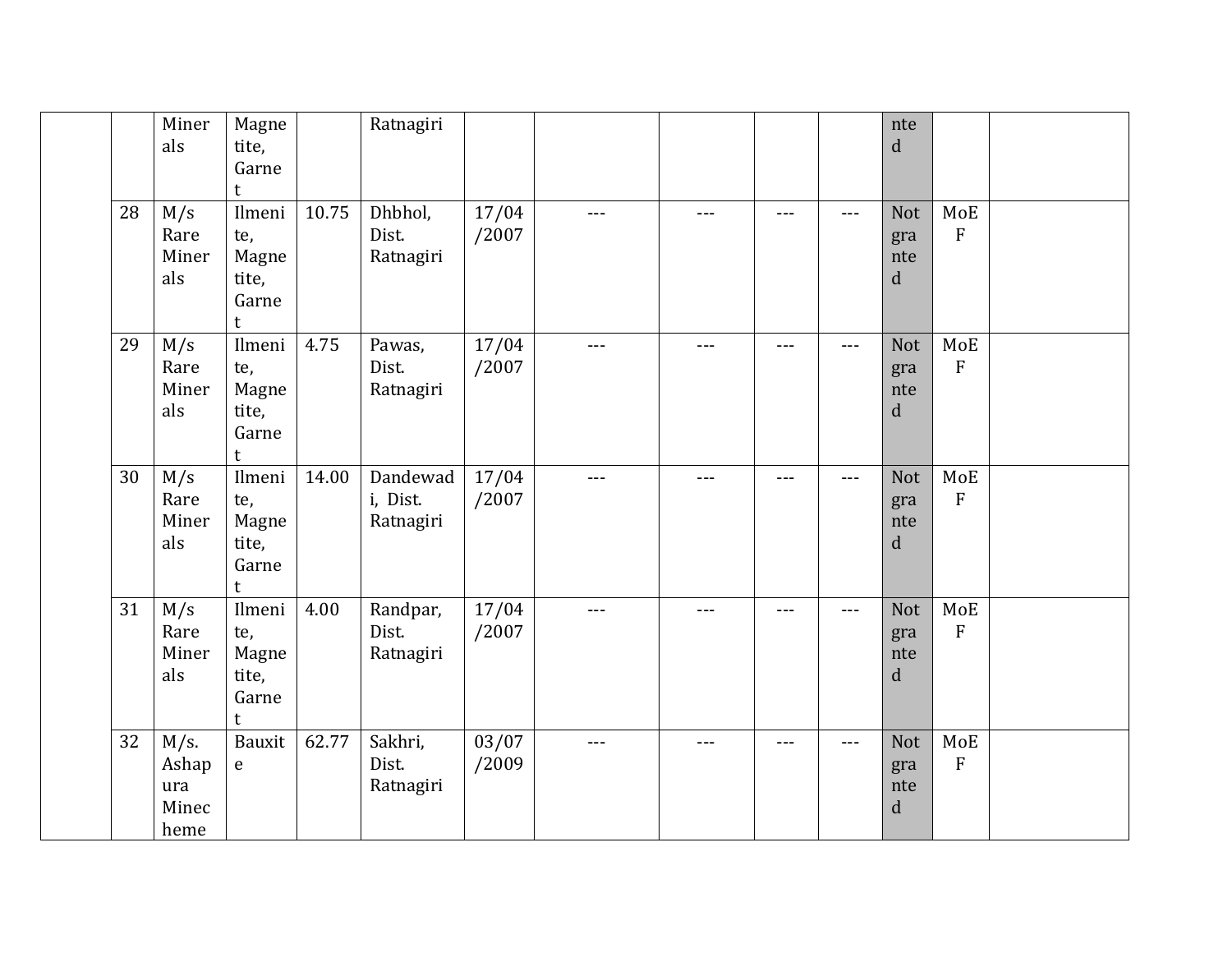|    | Miner<br>als                             | Magne<br>tite,<br>Garne<br>t                  |       | Ratnagiri                         |                |         |       |       |                   | nte<br>$\mathbf d$                      |                                            |  |
|----|------------------------------------------|-----------------------------------------------|-------|-----------------------------------|----------------|---------|-------|-------|-------------------|-----------------------------------------|--------------------------------------------|--|
| 28 | M/s<br>Rare<br>Miner<br>als              | Ilmeni<br>te,<br>Magne<br>tite,<br>Garne<br>t | 10.75 | Dhbhol,<br>Dist.<br>Ratnagiri     | 17/04<br>/2007 | $- - -$ | $---$ | $---$ | $\frac{1}{2}$     | Not<br>gra<br>nte<br>$\mathbf d$        | MoE<br>${\bf F}$                           |  |
| 29 | M/s<br>Rare<br>Miner<br>als              | Ilmeni<br>te,<br>Magne<br>tite,<br>Garne<br>t | 4.75  | Pawas,<br>Dist.<br>Ratnagiri      | 17/04<br>/2007 | $---$   | $---$ | ---   | $\frac{1}{2}$     | <b>Not</b><br>gra<br>nte<br>$\mathbf d$ | $\operatorname{\mathsf{MoE}}$<br>${\bf F}$ |  |
| 30 | M/s<br>Rare<br>Miner<br>als              | Ilmeni<br>te,<br>Magne<br>tite,<br>Garne<br>t | 14.00 | Dandewad<br>i, Dist.<br>Ratnagiri | 17/04<br>/2007 | $---$   | ---   | ---   | $---$             | <b>Not</b><br>gra<br>nte<br>$\mathbf d$ | MoE<br>F                                   |  |
| 31 | M/s<br>Rare<br>Miner<br>als              | Ilmeni<br>te,<br>Magne<br>tite,<br>Garne<br>t | 4.00  | Randpar,<br>Dist.<br>Ratnagiri    | 17/04<br>/2007 | ---     | $---$ | $---$ | $\qquad \qquad -$ | <b>Not</b><br>gra<br>nte<br>$\mathbf d$ | MoE<br>${\bf F}$                           |  |
| 32 | $M/s$ .<br>Ashap<br>ura<br>Minec<br>heme | Bauxit<br>${\bf e}$                           | 62.77 | Sakhri,<br>Dist.<br>Ratnagiri     | 03/07<br>/2009 |         | ---   | ---   | $\frac{1}{2}$     | <b>Not</b><br>gra<br>nte<br>$\mathbf d$ | $\operatorname{\mathsf{MoE}}$<br>F         |  |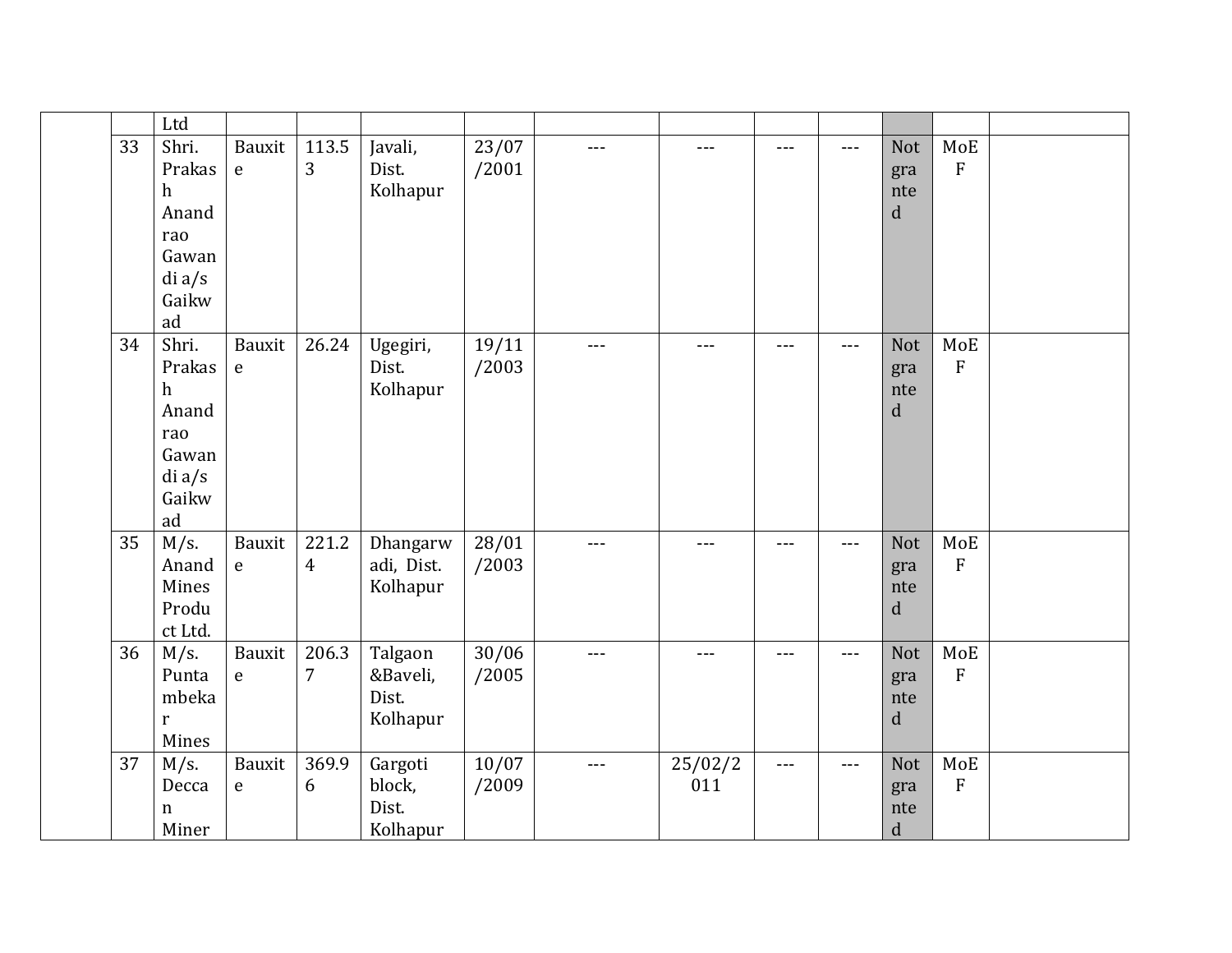|    | Ltd                                                                    |                        |                         |                                          |                          |       |                |         |               |                                         |                                            |  |
|----|------------------------------------------------------------------------|------------------------|-------------------------|------------------------------------------|--------------------------|-------|----------------|---------|---------------|-----------------------------------------|--------------------------------------------|--|
| 33 | Shri.<br>Prakas<br>h<br>Anand<br>rao<br>Gawan<br>di a/s<br>Gaikw<br>ad | Bauxit<br>$\mathsf e$  | 113.5<br>3              | Javali,<br>Dist.<br>Kolhapur             | 23/07<br>/2001           | $---$ | $---$          | $---$   | $---$         | <b>Not</b><br>gra<br>nte<br>d           | MoE<br>${\bf F}$                           |  |
| 34 | Shri.<br>Prakas<br>h<br>Anand<br>rao<br>Gawan<br>di a/s<br>Gaikw<br>ad | Bauxit<br>${\bf e}$    | 26.24                   | Ugegiri,<br>Dist.<br>Kolhapur            | 19/11<br>/2003           | $---$ | $---$          | ---     | $  -$         | <b>Not</b><br>gra<br>nte<br>${\bf d}$   | $\operatorname{\mathsf{MoE}}$<br>${\bf F}$ |  |
| 35 | $M/s$ .<br>Anand<br>Mines<br>Produ<br>ct Ltd.                          | Bauxit<br>$\mathbf{e}$ | 221.2<br>$\overline{4}$ | Dhangarw<br>adi, Dist.<br>Kolhapur       | 28/01<br>/2003           | $---$ | $---$          | $---$   | $---$         | <b>Not</b><br>gra<br>nte<br>$\mathbf d$ | MoE<br>$\overline{F}$                      |  |
| 36 | $M/s$ .<br>Punta<br>mbeka<br>r<br>Mines                                | Bauxit<br>$\mathbf e$  | 206.3<br>$\overline{7}$ | Talgaon<br>&Baveli,<br>Dist.<br>Kolhapur | $\frac{30}{06}$<br>/2005 | $---$ | $---$          | $- - -$ | $  -$         | <b>Not</b><br>gra<br>nte<br>$\mathbf d$ | MoE<br>${\bf F}$                           |  |
| 37 | $M/s$ .<br>Decca<br>n<br>Miner                                         | Bauxit<br>$\mathbf{e}$ | 369.9<br>6              | Gargoti<br>block,<br>Dist.<br>Kolhapur   | 10/07<br>/2009           | $---$ | 25/02/2<br>011 | $---$   | $\frac{1}{2}$ | <b>Not</b><br>gra<br>nte<br>$\mathbf d$ | MoE<br>${\bf F}$                           |  |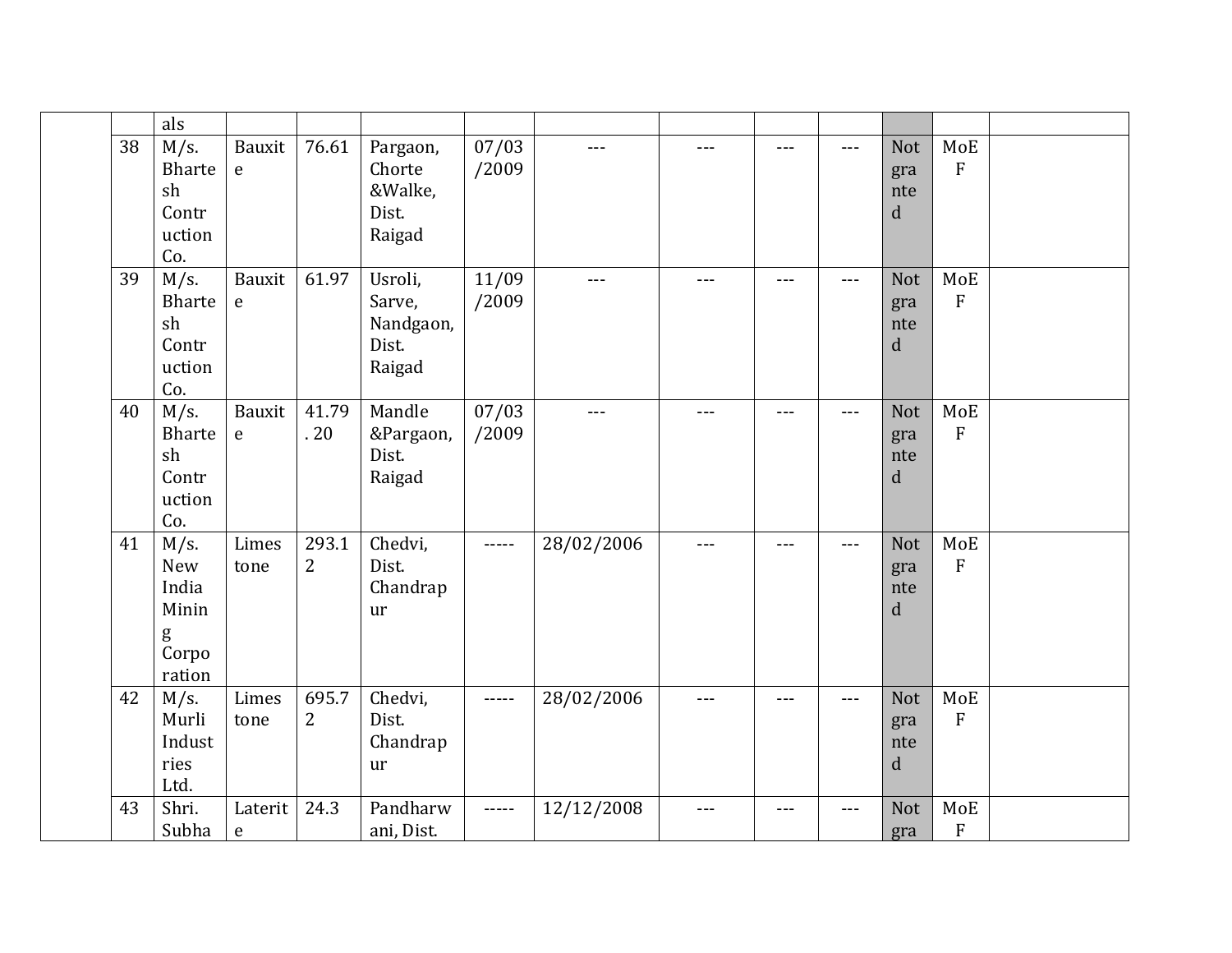|    | als                                                             |                        |                         |                                                   |                |            |       |        |       |                                         |                                              |  |
|----|-----------------------------------------------------------------|------------------------|-------------------------|---------------------------------------------------|----------------|------------|-------|--------|-------|-----------------------------------------|----------------------------------------------|--|
| 38 | M/s.<br>Bharte<br>sh<br>Contr<br>uction<br>Co.                  | Bauxit<br>$\mathbf{e}$ | 76.61                   | Pargaon,<br>Chorte<br>&Walke,<br>Dist.<br>Raigad  | 07/03<br>/2009 | $---$      | $---$ | ---    | ---   | <b>Not</b><br>gra<br>nte<br>d           | MoE<br>$\overline{F}$                        |  |
| 39 | $M/s$ .<br>Bharte<br>sh<br>Contr<br>uction<br>Co.               | Bauxit<br>$\mathbf{e}$ | 61.97                   | Usroli,<br>Sarve,<br>Nandgaon,<br>Dist.<br>Raigad | 11/09<br>/2009 | $---$      | $---$ | $---$  | ---   | <b>Not</b><br>gra<br>nte<br>d           | MoE<br>$\mathbf{F}$                          |  |
| 40 | $M/s$ .<br>Bharte<br>sh<br>Contr<br>uction<br>Co.               | Bauxit<br>${\bf e}$    | 41.79<br>.20            | Mandle<br>&Pargaon,<br>Dist.<br>Raigad            | 07/03<br>/2009 | $---$      | $---$ | $-- -$ | ---   | <b>Not</b><br>gra<br>nte<br>d           | MoE<br>$\overline{F}$                        |  |
| 41 | $M/s$ .<br><b>New</b><br>India<br>Minin<br>g<br>Corpo<br>ration | Limes<br>tone          | 293.1<br>$\overline{2}$ | Chedvi,<br>Dist.<br>Chandrap<br>ur                | -----          | 28/02/2006 | ---   | $---$  | ---   | <b>Not</b><br>gra<br>nte<br>d           | MoE<br>$\overline{F}$                        |  |
| 42 | $M/s$ .<br>Murli<br>Indust<br>ries<br>Ltd.                      | Limes<br>tone          | 695.7<br>$\overline{2}$ | Chedvi,<br>Dist.<br>Chandrap<br>ur                | -----          | 28/02/2006 | ---   | $---$  | $---$ | <b>Not</b><br>gra<br>nte<br>$\mathbf d$ | MoE<br>$\overline{F}$                        |  |
| 43 | Shri.<br>Subha                                                  | Laterit<br>$\mathsf e$ | 24.3                    | Pandharw<br>ani, Dist.                            | -----          | 12/12/2008 | $---$ | $---$  | ---   | <b>Not</b><br>gra                       | $\operatorname{\mathsf{MoE}}$<br>$\mathbf F$ |  |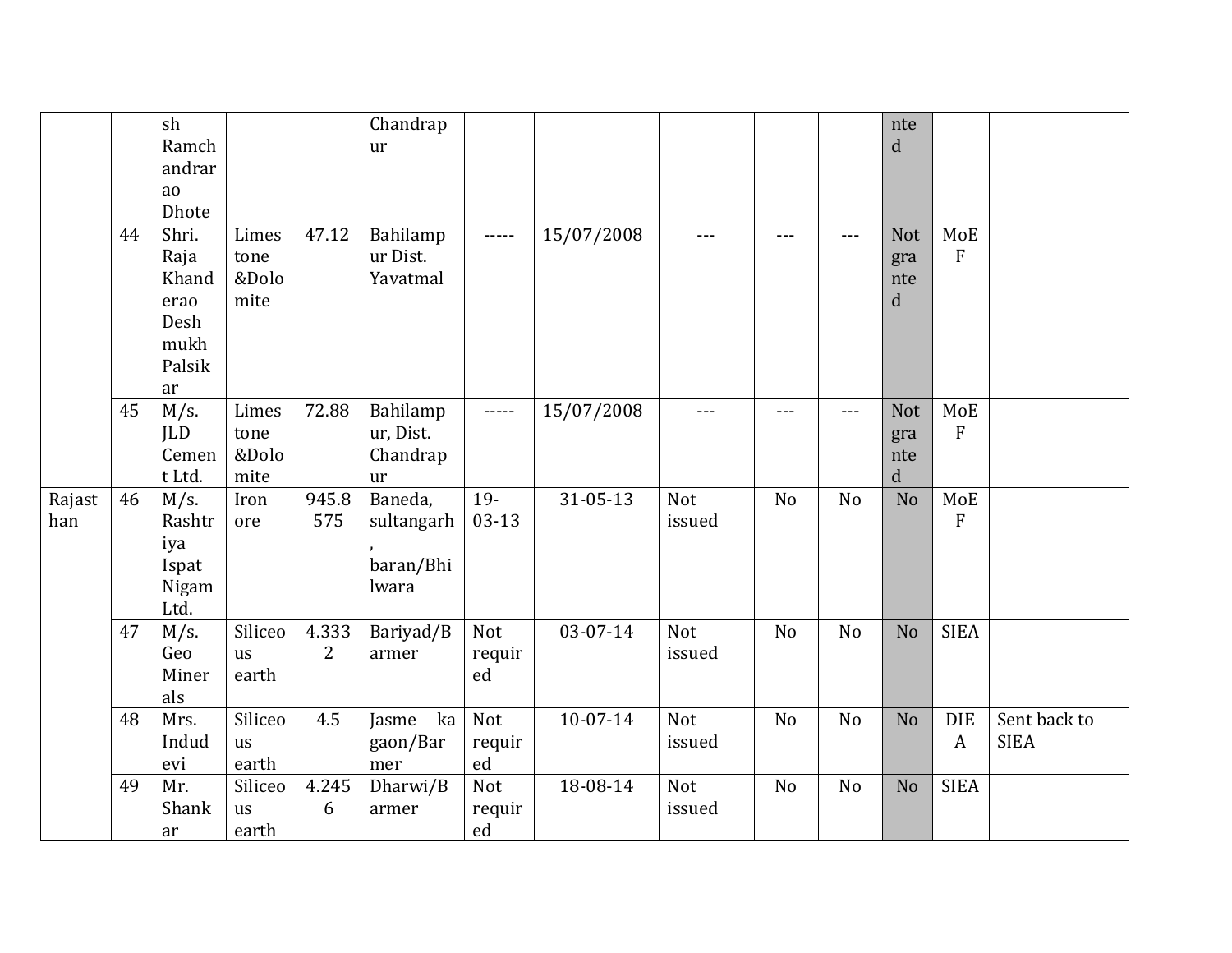|               |    | sh<br>Ramch<br>andrar                                          |                                |              | Chandrap<br>ur                              |                                    |                |               |                |                | nte<br>d                                |                            |                             |
|---------------|----|----------------------------------------------------------------|--------------------------------|--------------|---------------------------------------------|------------------------------------|----------------|---------------|----------------|----------------|-----------------------------------------|----------------------------|-----------------------------|
|               |    | ao<br>Dhote                                                    |                                |              |                                             |                                    |                |               |                |                |                                         |                            |                             |
|               | 44 | Shri.<br>Raja<br>Khand<br>erao<br>Desh<br>mukh<br>Palsik<br>ar | Limes<br>tone<br>&Dolo<br>mite | 47.12        | Bahilamp<br>ur Dist.<br>Yavatmal            | -----                              | 15/07/2008     | $---$         | $---$          | $---$          | Not<br>gra<br>nte<br>d                  | MoE<br>F                   |                             |
|               | 45 | $M/s$ .<br><b>ILD</b><br>Cemen<br>t Ltd.                       | Limes<br>tone<br>&Dolo<br>mite | 72.88        | Bahilamp<br>ur, Dist.<br>Chandrap<br>ur     | $- - - - -$                        | 15/07/2008     | ---           | $---$          | $---$          | <b>Not</b><br>gra<br>nte<br>$\mathbf d$ | MoE<br>$\mathbf{F}$        |                             |
| Rajast<br>han | 46 | $M/s$ .<br>Rashtr<br>iya<br>Ispat<br>Nigam<br>Ltd.             | Iron<br>ore                    | 945.8<br>575 | Baneda,<br>sultangarh<br>baran/Bhi<br>lwara | 19-<br>$03 - 13$                   | $31 - 05 - 13$ | Not<br>issued | N <sub>o</sub> | N <sub>o</sub> | N <sub>o</sub>                          | <b>MoE</b><br>$\mathbf{F}$ |                             |
|               | 47 | $M/s$ .<br>Geo<br>Miner<br>als                                 | Siliceo<br>us<br>earth         | 4.333<br>2   | Bariyad/B<br>armer                          | Not<br>requir<br>ed                | 03-07-14       | Not<br>issued | N <sub>o</sub> | No             | N <sub>o</sub>                          | <b>SIEA</b>                |                             |
|               | 48 | Mrs.<br>Indud<br>evi                                           | Siliceo<br>us<br>earth         | 4.5          | ka<br>Jasme<br>gaon/Bar<br>mer              | Not<br>requir<br>${\bf e} {\bf d}$ | $10 - 07 - 14$ | Not<br>issued | N <sub>o</sub> | No             | N <sub>o</sub>                          | <b>DIE</b><br>A            | Sent back to<br><b>SIEA</b> |
|               | 49 | Mr.<br>Shank<br>ar                                             | Siliceo<br>us<br>earth         | 4.245<br>6   | Dharwi/B<br>armer                           | Not<br>requir<br>ed                | 18-08-14       | Not<br>issued | N <sub>o</sub> | No             | N <sub>o</sub>                          | <b>SIEA</b>                |                             |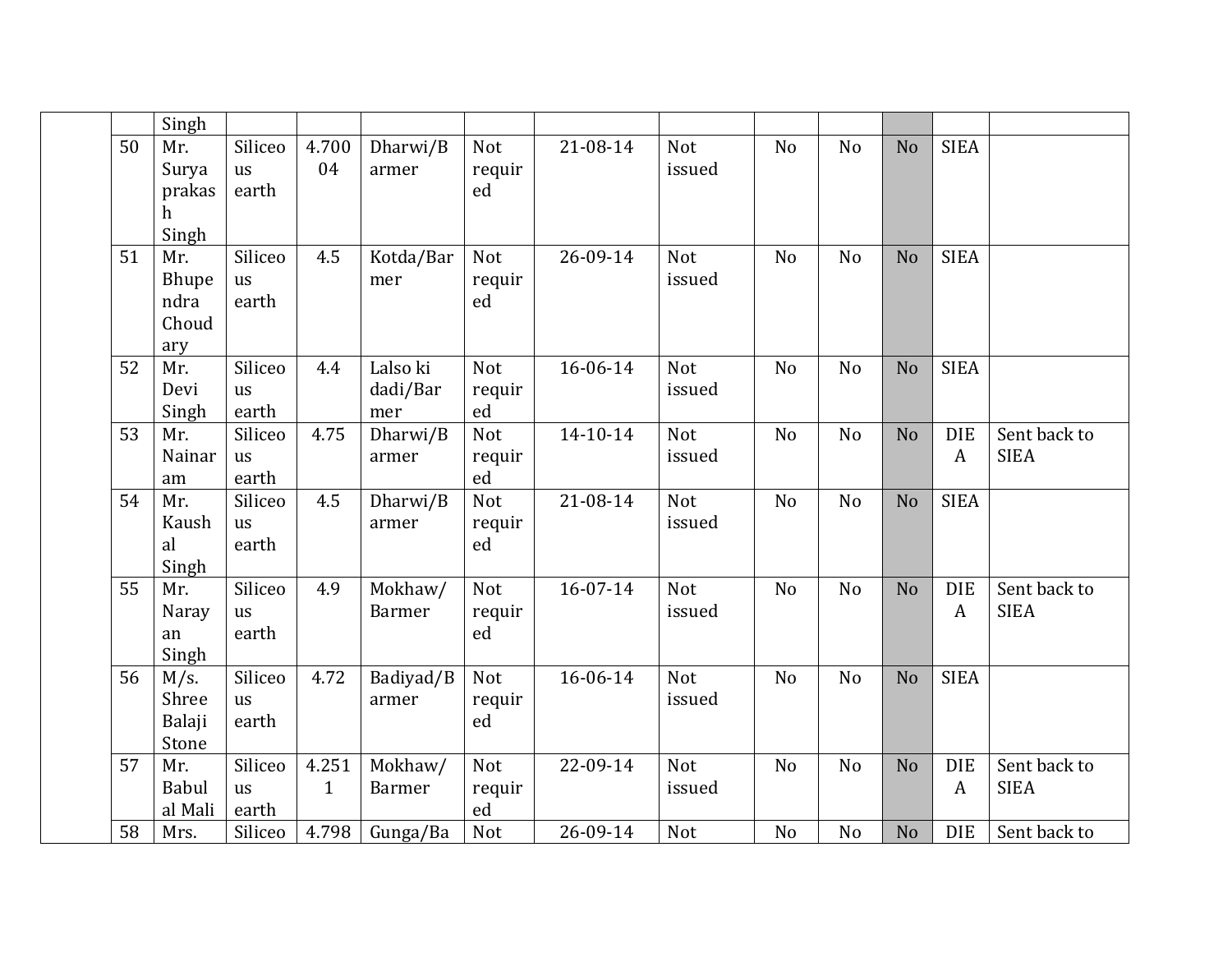|    | Singh                                |                               |                       |                             |                            |          |                      |                |                |                |                                |                             |
|----|--------------------------------------|-------------------------------|-----------------------|-----------------------------|----------------------------|----------|----------------------|----------------|----------------|----------------|--------------------------------|-----------------------------|
| 50 | Mr.<br>Surya<br>prakas<br>h<br>Singh | Siliceo<br>us<br>earth        | 4.700<br>04           | Dharwi/B<br>armer           | <b>Not</b><br>requir<br>ed | 21-08-14 | <b>Not</b><br>issued | N <sub>o</sub> | N <sub>o</sub> | N <sub>o</sub> | <b>SIEA</b>                    |                             |
| 51 | Mr.<br>Bhupe<br>ndra<br>Choud<br>ary | Siliceo<br><b>us</b><br>earth | 4.5                   | Kotda/Bar<br>mer            | Not<br>requir<br>ed        | 26-09-14 | Not<br>issued        | N <sub>o</sub> | No             | N <sub>o</sub> | <b>SIEA</b>                    |                             |
| 52 | Mr.<br>Devi<br>Singh                 | Siliceo<br>us<br>earth        | 4.4                   | Lalso ki<br>dadi/Bar<br>mer | <b>Not</b><br>requir<br>ed | 16-06-14 | <b>Not</b><br>issued | N <sub>o</sub> | N <sub>o</sub> | N <sub>o</sub> | <b>SIEA</b>                    |                             |
| 53 | Mr.<br>Nainar<br>am                  | Siliceo<br>us<br>earth        | 4.75                  | Dharwi/B<br>armer           | <b>Not</b><br>requir<br>ed | 14-10-14 | Not<br>issued        | N <sub>o</sub> | N <sub>o</sub> | N <sub>o</sub> | <b>DIE</b><br>$\boldsymbol{A}$ | Sent back to<br><b>SIEA</b> |
| 54 | Mr.<br>Kaush<br>al<br>Singh          | Siliceo<br>us<br>earth        | 4.5                   | Dharwi/B<br>armer           | Not<br>requir<br>ed        | 21-08-14 | Not<br>issued        | N <sub>o</sub> | N <sub>o</sub> | N <sub>o</sub> | <b>SIEA</b>                    |                             |
| 55 | Mr.<br>Naray<br>an<br>Singh          | Siliceo<br>us<br>earth        | 4.9                   | Mokhaw/<br><b>Barmer</b>    | Not<br>requir<br>ed        | 16-07-14 | Not<br>issued        | N <sub>o</sub> | N <sub>o</sub> | N <sub>o</sub> | <b>DIE</b><br>$\boldsymbol{A}$ | Sent back to<br><b>SIEA</b> |
| 56 | $M/s$ .<br>Shree<br>Balaji<br>Stone  | Siliceo<br>us<br>earth        | 4.72                  | Badiyad/B<br>armer          | Not<br>requir<br>ed        | 16-06-14 | Not<br>issued        | N <sub>o</sub> | N <sub>o</sub> | N <sub>o</sub> | <b>SIEA</b>                    |                             |
| 57 | Mr.<br><b>Babul</b><br>al Mali       | Siliceo<br><b>us</b><br>earth | 4.251<br>$\mathbf{1}$ | Mokhaw/<br><b>Barmer</b>    | Not<br>requir<br>ed        | 22-09-14 | Not<br>issued        | N <sub>o</sub> | No             | N <sub>o</sub> | <b>DIE</b><br>A                | Sent back to<br><b>SIEA</b> |
| 58 | Mrs.                                 | Siliceo                       | 4.798                 | Gunga/Ba                    | Not                        | 26-09-14 | <b>Not</b>           | N <sub>o</sub> | N <sub>o</sub> | N <sub>o</sub> | <b>DIE</b>                     | Sent back to                |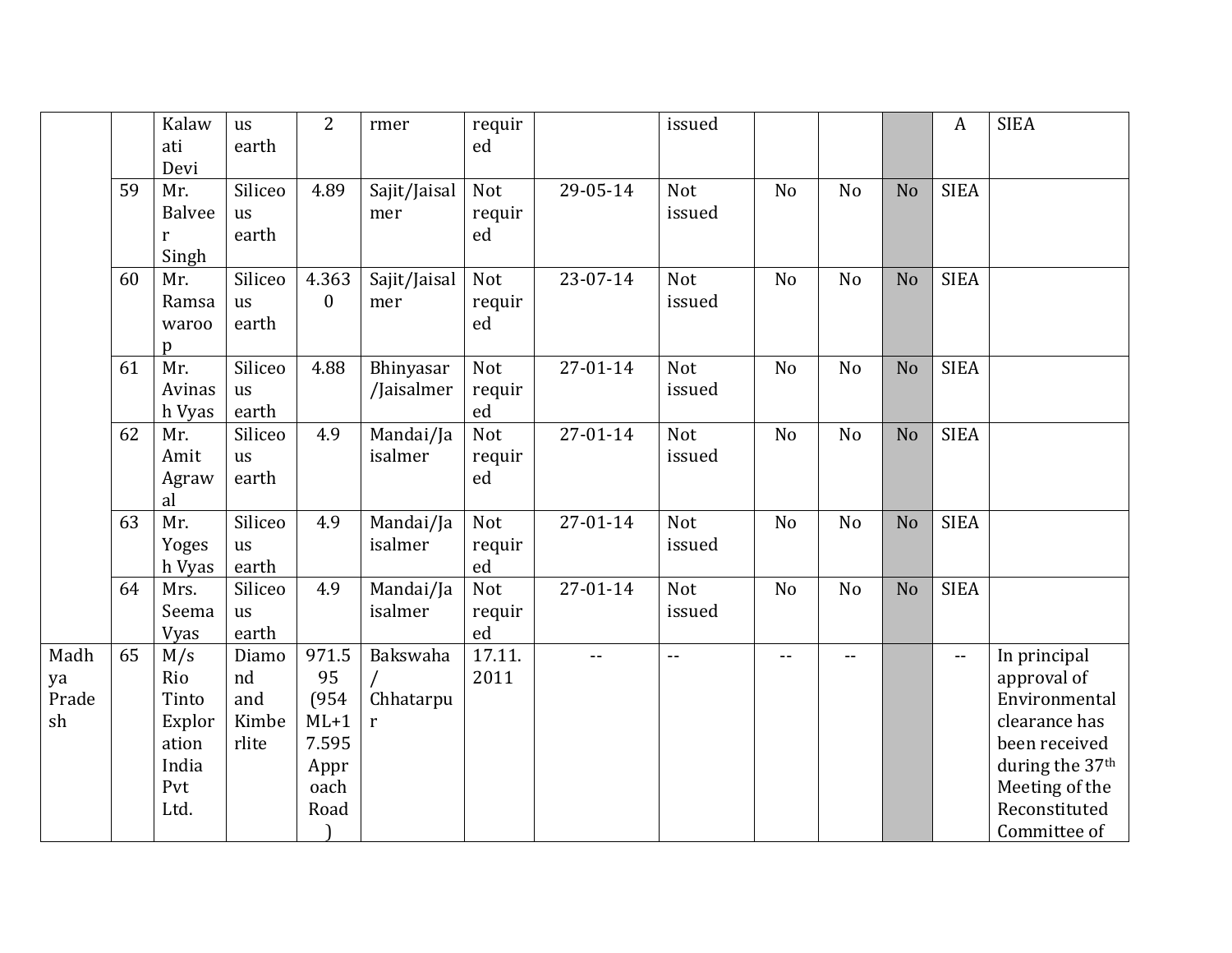|                           |    | Kalaw<br>ati<br>Devi                                           | us<br>earth                          | $\overline{2}$                                                  | rmer                       | requir<br>ed                |          | issued               |                |                |                | A                        | <b>SIEA</b>                                                                                                                                          |
|---------------------------|----|----------------------------------------------------------------|--------------------------------------|-----------------------------------------------------------------|----------------------------|-----------------------------|----------|----------------------|----------------|----------------|----------------|--------------------------|------------------------------------------------------------------------------------------------------------------------------------------------------|
|                           | 59 | Mr.<br><b>Balvee</b><br>r<br>Singh                             | Siliceo<br>us<br>earth               | 4.89                                                            | Sajit/Jaisal<br>mer        | Not<br>requir<br>ed         | 29-05-14 | <b>Not</b><br>issued | N <sub>o</sub> | N <sub>o</sub> | N <sub>o</sub> | <b>SIEA</b>              |                                                                                                                                                      |
|                           | 60 | Mr.<br>Ramsa<br>waroo<br>$\mathbf{D}$                          | Siliceo<br>us<br>earth               | 4.363<br>$\mathbf{0}$                                           | Sajit/Jaisal<br>mer        | Not<br>requir<br>ed         | 23-07-14 | Not<br>issued        | N <sub>o</sub> | N <sub>o</sub> | N <sub>o</sub> | <b>SIEA</b>              |                                                                                                                                                      |
|                           | 61 | Mr.<br>Avinas<br>h Vyas                                        | Siliceo<br>us<br>earth               | 4.88                                                            | Bhinyasar<br>/Jaisalmer    | Not<br>requir<br>ed         | 27-01-14 | Not<br>issued        | N <sub>o</sub> | N <sub>o</sub> | N <sub>o</sub> | <b>SIEA</b>              |                                                                                                                                                      |
|                           | 62 | Mr.<br>Amit<br>Agraw<br>al                                     | Siliceo<br>us<br>earth               | 4.9                                                             | Mandai/Ja<br>isalmer       | Not<br>requir<br>ed         | 27-01-14 | Not<br>issued        | N <sub>o</sub> | No             | N <sub>o</sub> | <b>SIEA</b>              |                                                                                                                                                      |
|                           | 63 | Mr.<br>Yoges<br>h Vyas                                         | Siliceo<br>us<br>earth               | 4.9                                                             | Mandai/Ja<br>isalmer       | Not<br>requir<br>${\rm ed}$ | 27-01-14 | Not<br>issued        | N <sub>o</sub> | No             | N <sub>o</sub> | <b>SIEA</b>              |                                                                                                                                                      |
|                           | 64 | Mrs.<br>Seema<br>Vyas                                          | Siliceo<br>us<br>earth               | 4.9                                                             | Mandai/Ja<br>isalmer       | <b>Not</b><br>requir<br>ed  | 27-01-14 | <b>Not</b><br>issued | N <sub>o</sub> | No             | N <sub>o</sub> | <b>SIEA</b>              |                                                                                                                                                      |
| Madh<br>ya<br>Prade<br>sh | 65 | M/s<br>Rio<br>Tinto<br>Explor<br>ation<br>India<br>Pvt<br>Ltd. | Diamo<br>nd<br>and<br>Kimbe<br>rlite | 971.5<br>95<br>(954)<br>$ML+1$<br>7.595<br>Appr<br>oach<br>Road | Bakswaha<br>Chhatarpu<br>r | 17.11.<br>2011              | $-$      | $\sim$ $\sim$        | $-$            | $\overline{a}$ |                | $\overline{\phantom{a}}$ | In principal<br>approval of<br>Environmental<br>clearance has<br>been received<br>during the 37th<br>Meeting of the<br>Reconstituted<br>Committee of |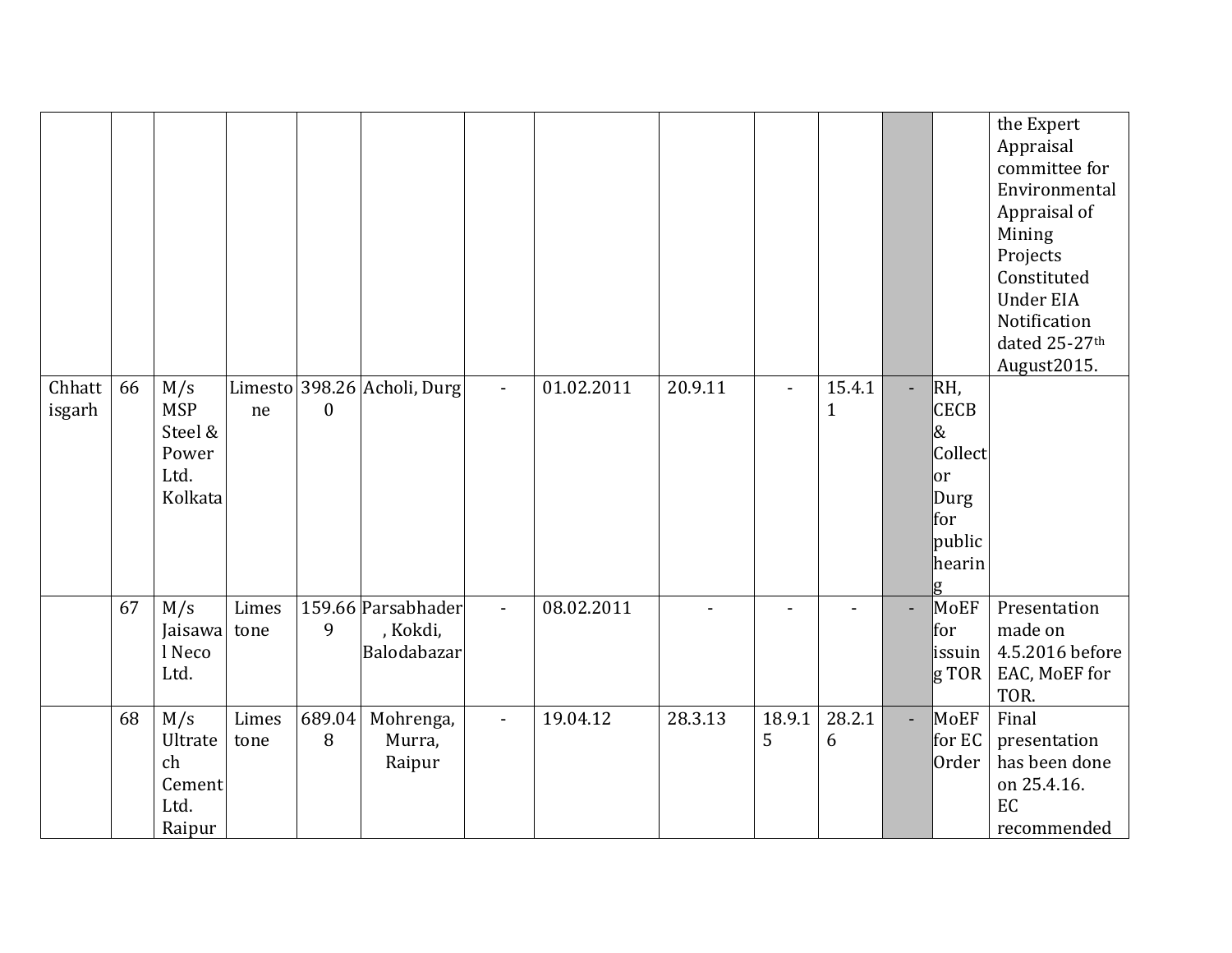|                  |    |                                                          |               |              |                                               |              |            |         |                |                        |                          |                                                                                   | the Expert<br>Appraisal<br>committee for<br>Environmental<br>Appraisal of<br>Mining<br>Projects<br>Constituted<br><b>Under EIA</b><br>Notification<br>dated 25-27th<br>August2015. |
|------------------|----|----------------------------------------------------------|---------------|--------------|-----------------------------------------------|--------------|------------|---------|----------------|------------------------|--------------------------|-----------------------------------------------------------------------------------|------------------------------------------------------------------------------------------------------------------------------------------------------------------------------------|
| Chhatt<br>isgarh | 66 | M/s<br><b>MSP</b><br>Steel &<br>Power<br>Ltd.<br>Kolkata | ne            | $\mathbf{0}$ | Limesto 398.26 Acholi, Durg                   | $\sim$       | 01.02.2011 | 20.9.11 | $\blacksquare$ | 15.4.1<br>$\mathbf{1}$ | ÷.                       | RH,<br><b>CECB</b><br>8<br>Collect<br>lor<br>Durg<br>for<br>public<br>hearin<br>g |                                                                                                                                                                                    |
|                  | 67 | M/s<br>Jaisawa tone<br>l Neco<br>Ltd.                    | Limes         | 9            | 159.66 Parsabhader<br>, Kokdi,<br>Balodabazar | $\mathbf{r}$ | 08.02.2011 |         |                |                        | $\overline{\phantom{0}}$ | MoEF<br>for<br>issuin<br>$\ $ g TOR                                               | Presentation<br>made on<br>4.5.2016 before<br>EAC, MoEF for<br>TOR.                                                                                                                |
|                  | 68 | M/s<br>Ultrate<br>ch<br>Cement<br>Ltd.<br>Raipur         | Limes<br>tone | 689.04<br>8  | Mohrenga,<br>Murra,<br>Raipur                 | $\sim$       | 19.04.12   | 28.3.13 | 18.9.1<br>5    | 28.2.1<br>6            | ÷.                       | MoEF<br>for EC<br>Order                                                           | Final<br>presentation<br>has been done<br>on 25.4.16.<br>EC<br>recommended                                                                                                         |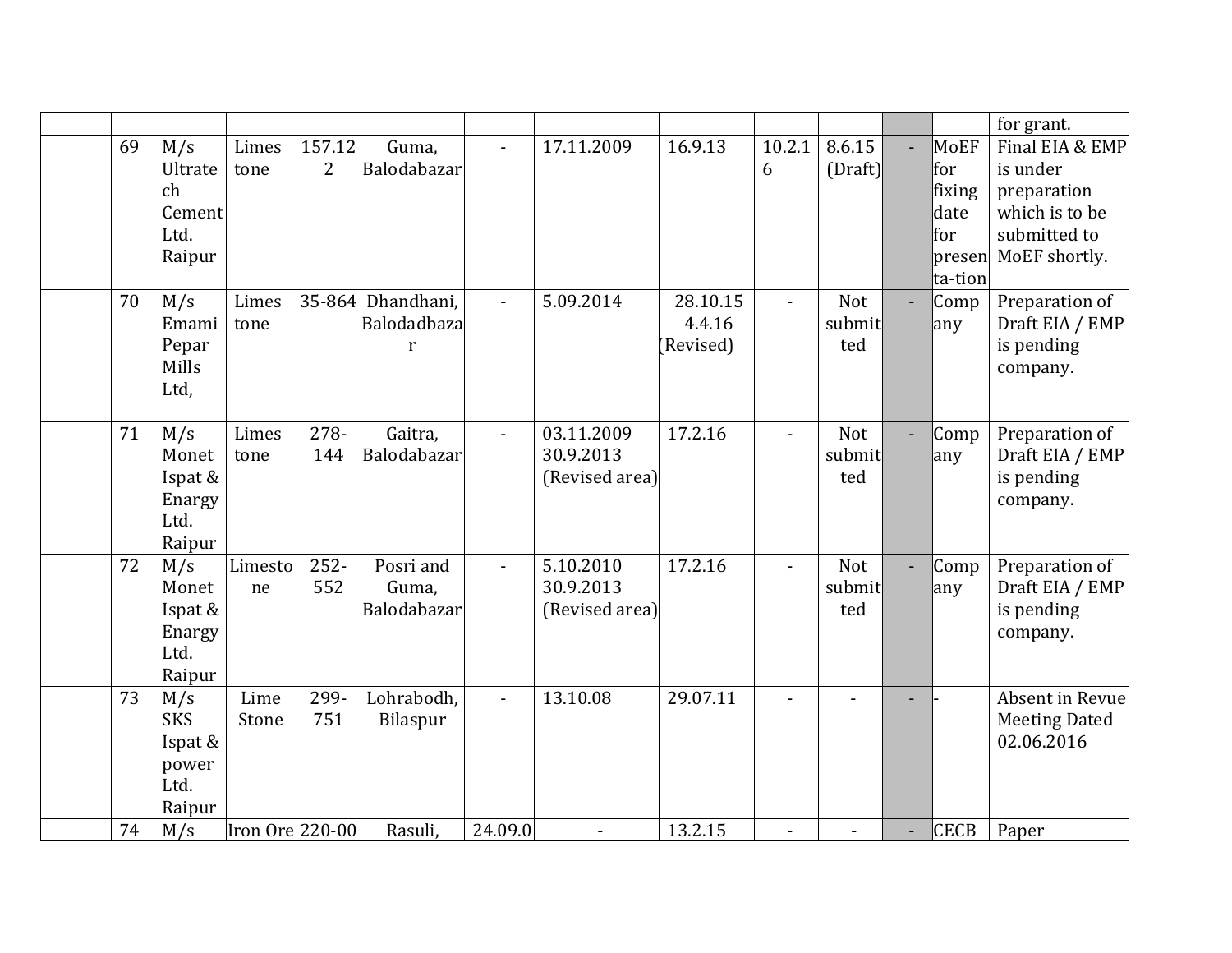|    |                                                         |                 |                          |                                           |                |                                           |                                 |                |                      |                                                  | for grant.                                                                                    |
|----|---------------------------------------------------------|-----------------|--------------------------|-------------------------------------------|----------------|-------------------------------------------|---------------------------------|----------------|----------------------|--------------------------------------------------|-----------------------------------------------------------------------------------------------|
| 69 | M/s<br>Ultrate<br>ch<br>Cement<br>Ltd.<br>Raipur        | Limes<br>tone   | 157.12<br>$\overline{2}$ | Guma,<br>Balodabazar                      |                | 17.11.2009                                | 16.9.13                         | 10.2.1<br>6    | 8.6.15<br>(Draft)    | MoEF<br>lfor<br>fixing<br>date<br>lfor<br>presen | Final EIA & EMP<br>is under<br>preparation<br>which is to be<br>submitted to<br>MoEF shortly. |
| 70 | M/s<br>Emami<br>Pepar<br>Mills<br>Ltd,                  | Limes<br>tone   | 35-864                   | Dhandhani,<br>Balodadbaza<br>$\mathbf{r}$ | $\blacksquare$ | 5.09.2014                                 | 28.10.15<br>4.4.16<br>(Revised) | $\blacksquare$ | Not<br>submit<br>ted | ta-tion<br>Comp<br>any                           | Preparation of<br>Draft EIA / EMP<br>is pending<br>company.                                   |
| 71 | M/s<br>Monet<br>Ispat &<br>Enargy<br>Ltd.<br>Raipur     | Limes<br>tone   | 278-<br>144              | Gaitra,<br>Balodabazar                    | $\sim$         | 03.11.2009<br>30.9.2013<br>(Revised area) | 17.2.16                         | $\overline{a}$ | Not<br>submit<br>ted | Comp<br>any                                      | Preparation of<br>Draft EIA / EMP<br>is pending<br>company.                                   |
| 72 | M/s<br>Monet<br>Ispat &<br>Enargy<br>Ltd.<br>Raipur     | Limesto<br>ne   | $252 -$<br>552           | Posri and<br>Guma,<br>Balodabazar         | $\blacksquare$ | 5.10.2010<br>30.9.2013<br>(Revised area)  | 17.2.16                         | $\blacksquare$ | Not<br>submit<br>ted | Comp<br>any                                      | Preparation of<br>Draft EIA / EMP<br>is pending<br>company.                                   |
| 73 | M/s<br><b>SKS</b><br>Ispat &<br>power<br>Ltd.<br>Raipur | Lime<br>Stone   | 299-<br>751              | Lohrabodh,<br>Bilaspur                    |                | 13.10.08                                  | 29.07.11                        | $\overline{a}$ |                      |                                                  | Absent in Revue<br><b>Meeting Dated</b><br>02.06.2016                                         |
| 74 | M/s                                                     | Iron Ore 220-00 |                          | Rasuli,                                   | 24.09.0        | $\overline{a}$                            | 13.2.15                         | $\overline{a}$ |                      | <b>CECB</b>                                      | Paper                                                                                         |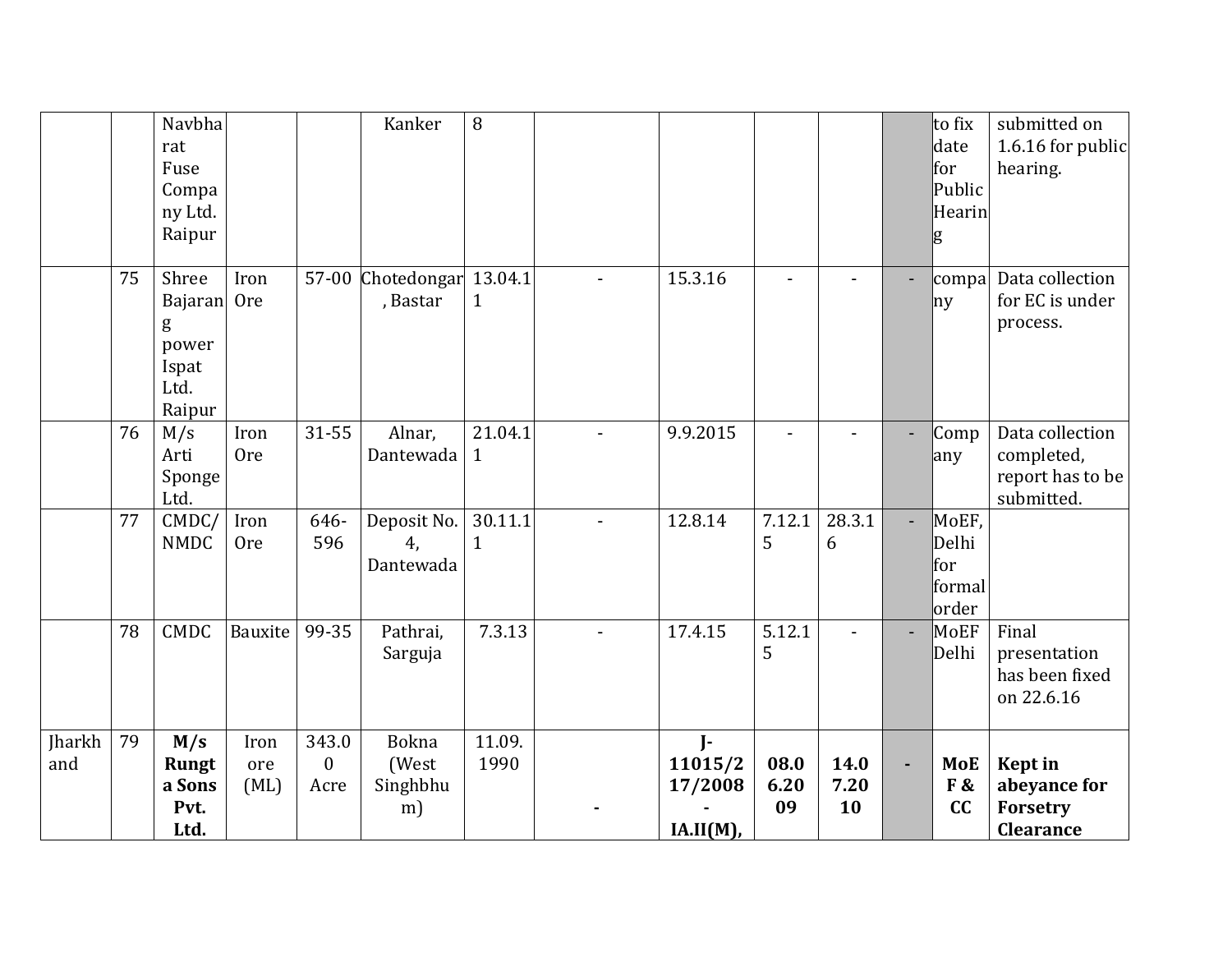|               |    | Navbha<br>rat<br>Fuse<br>Compa<br>ny Ltd.<br>Raipur              |                     |                               | Kanker                                  | 8                       |                                         |                    |                    |                | to fix<br>date<br>for<br>Public<br>Hearin<br>g | submitted on<br>1.6.16 for public<br>hearing.                   |
|---------------|----|------------------------------------------------------------------|---------------------|-------------------------------|-----------------------------------------|-------------------------|-----------------------------------------|--------------------|--------------------|----------------|------------------------------------------------|-----------------------------------------------------------------|
|               | 75 | Shree<br><b>Bajaran</b><br>g<br>power<br>Ispat<br>Ltd.<br>Raipur | Iron<br><b>Ore</b>  |                               | 57-00 Chotedongar 13.04.1<br>, Bastar   | $\mathbf{1}$            | 15.3.16                                 |                    |                    |                | compa<br>ny                                    | Data collection<br>for EC is under<br>process.                  |
|               | 76 | M/s<br>Arti<br>Sponge<br>Ltd.                                    | Iron<br><b>Ore</b>  | 31-55                         | Alnar,<br>Dantewada                     | 21.04.1<br>$\mathbf{1}$ | 9.9.2015                                |                    |                    |                | Comp<br>any                                    | Data collection<br>completed,<br>report has to be<br>submitted. |
|               | 77 | CMDC/<br><b>NMDC</b>                                             | Iron<br><b>Ore</b>  | 646-<br>596                   | Deposit No.<br>4.<br>Dantewada          | 30.11.1<br>$\mathbf{1}$ | 12.8.14                                 | 7.12.1<br>5        | 28.3.1<br>6        |                | MoEF,<br>Delhi<br>for<br>formal<br>order       |                                                                 |
|               | 78 | <b>CMDC</b>                                                      | Bauxite             | 99-35                         | Pathrai,<br>Sarguja                     | 7.3.13                  | 17.4.15                                 | 5.12.1<br>5        | $\blacksquare$     |                | MoEF<br>Delhi                                  | Final<br>presentation<br>has been fixed<br>on 22.6.16           |
| Jharkh<br>and | 79 | M/s<br><b>Rungt</b><br>a Sons<br>Pvt.<br>Ltd.                    | Iron<br>ore<br>(ML) | 343.0<br>$\mathbf{0}$<br>Acre | <b>Bokna</b><br>(West<br>Singhbhu<br>m) | 11.09.<br>1990          | $J-$<br>11015/2<br>17/2008<br>IA.II(M), | 08.0<br>6.20<br>09 | 14.0<br>7.20<br>10 | $\blacksquare$ | <b>MoE</b><br>F&<br>cc                         | <b>Kept</b> in<br>abeyance for<br>Forsetry<br>Clearance         |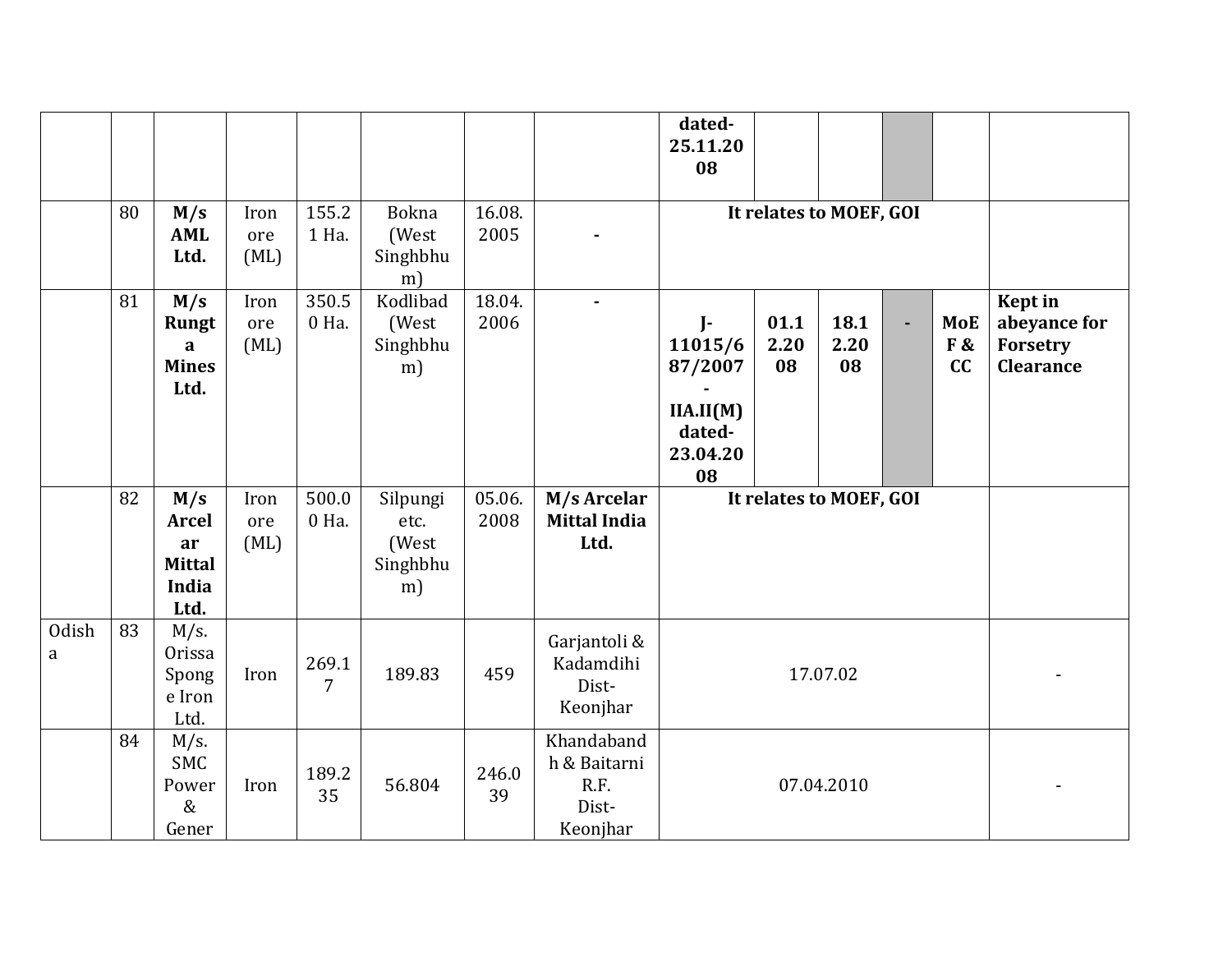|                   |    |                                                                    |                     |                |                                             |                |                                                         | dated-<br>25.11.20<br>08                                                    |                         |                    |                |                        |                                                                |
|-------------------|----|--------------------------------------------------------------------|---------------------|----------------|---------------------------------------------|----------------|---------------------------------------------------------|-----------------------------------------------------------------------------|-------------------------|--------------------|----------------|------------------------|----------------------------------------------------------------|
|                   | 80 |                                                                    |                     | 155.2          | Bokna                                       | 16.08.         |                                                         |                                                                             |                         |                    |                |                        |                                                                |
|                   |    | M/s<br><b>AML</b><br>Ltd.                                          | Iron<br>ore<br>(ML) | 1 Ha.          | (West<br>Singhbhu<br>m)                     | 2005           |                                                         |                                                                             | It relates to MOEF, GOI |                    |                |                        |                                                                |
|                   | 81 | M/s<br><b>Rungt</b><br>a<br><b>Mines</b><br>Ltd.                   | Iron<br>ore<br>(ML) | 350.5<br>0 Ha. | Kodlibad<br>(West<br>Singhbhu<br>m)         | 18.04.<br>2006 | $\blacksquare$                                          | $\mathbf{I}$<br>11015/6<br>87/2007<br>IIA.II(M)<br>dated-<br>23.04.20<br>08 | 01.1<br>2.20<br>08      | 18.1<br>2.20<br>08 | $\blacksquare$ | <b>MoE</b><br>F&<br>cc | <b>Kept</b> in<br>abeyance for<br>Forsetry<br><b>Clearance</b> |
|                   | 82 | M/s<br><b>Arcel</b><br>ar<br><b>Mittal</b><br><b>India</b><br>Ltd. | Iron<br>ore<br>(ML) | 500.0<br>0 Ha. | Silpungi<br>etc.<br>(West<br>Singhbhu<br>m) | 05.06.<br>2008 | M/s Arcelar<br><b>Mittal India</b><br>Ltd.              |                                                                             | It relates to MOEF, GOI |                    |                |                        |                                                                |
| <b>Odish</b><br>a | 83 | $M/s$ .<br>Orissa<br>Spong<br>e Iron<br>Ltd.                       | Iron                | 269.1<br>7     | 189.83                                      | 459            | Garjantoli &<br>Kadamdihi<br>Dist-<br>Keonjhar          |                                                                             |                         | 17.07.02           |                |                        |                                                                |
|                   | 84 | $M/s$ .<br><b>SMC</b><br>Power<br>$\&$<br>Gener                    | Iron                | 189.2<br>35    | 56.804                                      | 246.0<br>39    | Khandaband<br>h & Baitarni<br>R.F.<br>Dist-<br>Keonjhar |                                                                             |                         | 07.04.2010         |                |                        |                                                                |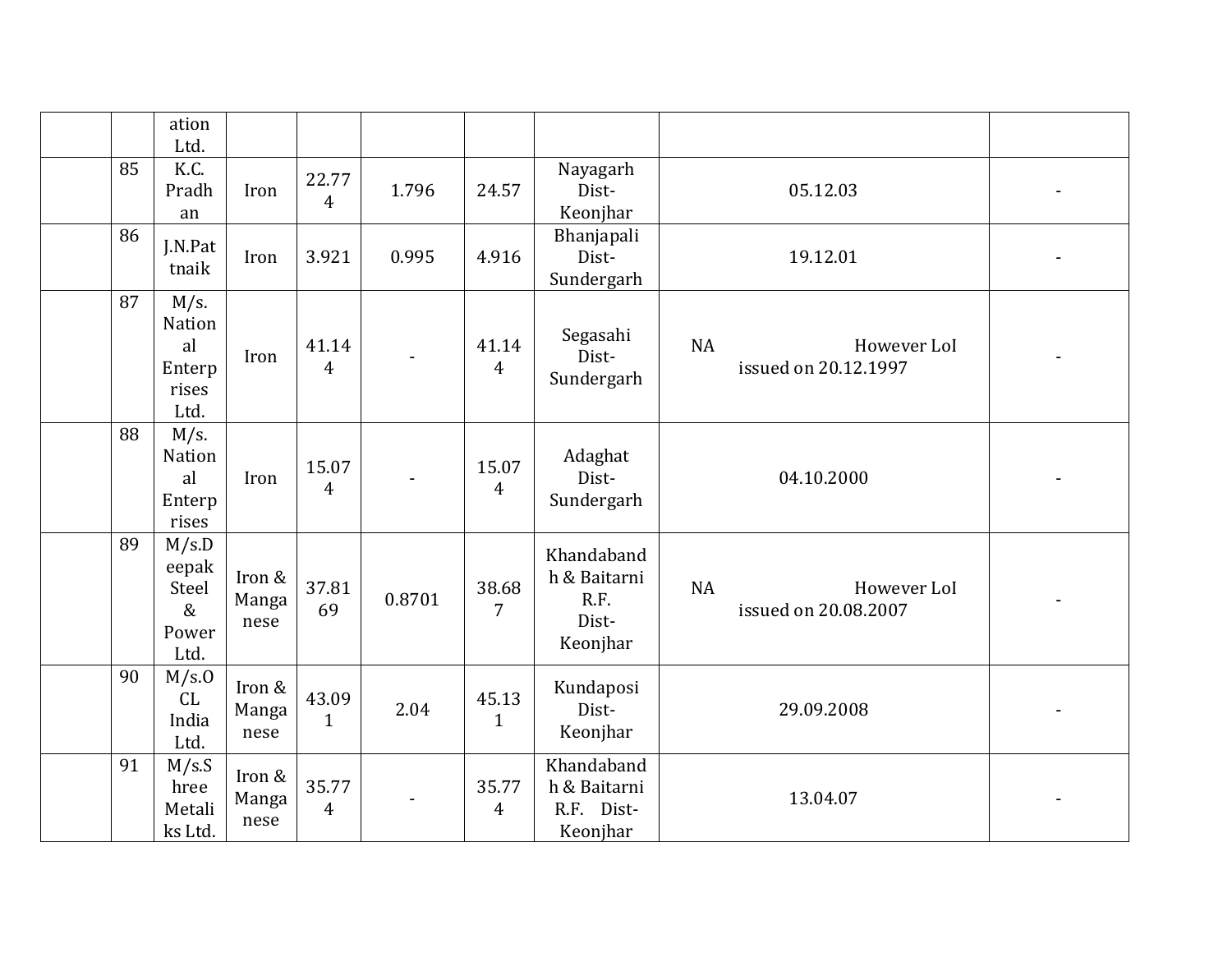|    | ation<br>Ltd.                                      |                         |                         |        |                         |                                                         |                                           |  |
|----|----------------------------------------------------|-------------------------|-------------------------|--------|-------------------------|---------------------------------------------------------|-------------------------------------------|--|
| 85 | K.C.<br>Pradh<br>an                                | Iron                    | 22.77<br>$\overline{4}$ | 1.796  | 24.57                   | Nayagarh<br>Dist-<br>Keonjhar                           | 05.12.03                                  |  |
| 86 | J.N.Pat<br>tnaik                                   | Iron                    | 3.921                   | 0.995  | 4.916                   | Bhanjapali<br>Dist-<br>Sundergarh                       | 19.12.01                                  |  |
| 87 | $M/s$ .<br>Nation<br>al<br>Enterp<br>rises<br>Ltd. | Iron                    | 41.14<br>$\overline{4}$ |        | 41.14<br>$\overline{4}$ | Segasahi<br>Dist-<br>Sundergarh                         | NA<br>However LoI<br>issued on 20.12.1997 |  |
| 88 | $M/s$ .<br>Nation<br>al<br>Enterp<br>rises         | Iron                    | 15.07<br>$\overline{4}$ |        | 15.07<br>$\overline{4}$ | Adaghat<br>Dist-<br>Sundergarh                          | 04.10.2000                                |  |
| 89 | M/s.D<br>eepak<br>Steel<br>$\&$<br>Power<br>Ltd.   | Iron &<br>Manga<br>nese | 37.81<br>69             | 0.8701 | 38.68<br>7              | Khandaband<br>h & Baitarni<br>R.F.<br>Dist-<br>Keonjhar | NA<br>However LoI<br>issued on 20.08.2007 |  |
| 90 | M/s.0<br>CL<br>India<br>Ltd.                       | Iron &<br>Manga<br>nese | 43.09<br>$\mathbf{1}$   | 2.04   | 45.13<br>$\mathbf{1}$   | Kundaposi<br>Dist-<br>Keonjhar                          | 29.09.2008                                |  |
| 91 | M/s.S<br>hree<br>Metali<br>ks Ltd.                 | Iron &<br>Manga<br>nese | 35.77<br>$\overline{4}$ |        | 35.77<br>$\overline{4}$ | Khandaband<br>h & Baitarni<br>R.F. Dist-<br>Keonjhar    | 13.04.07                                  |  |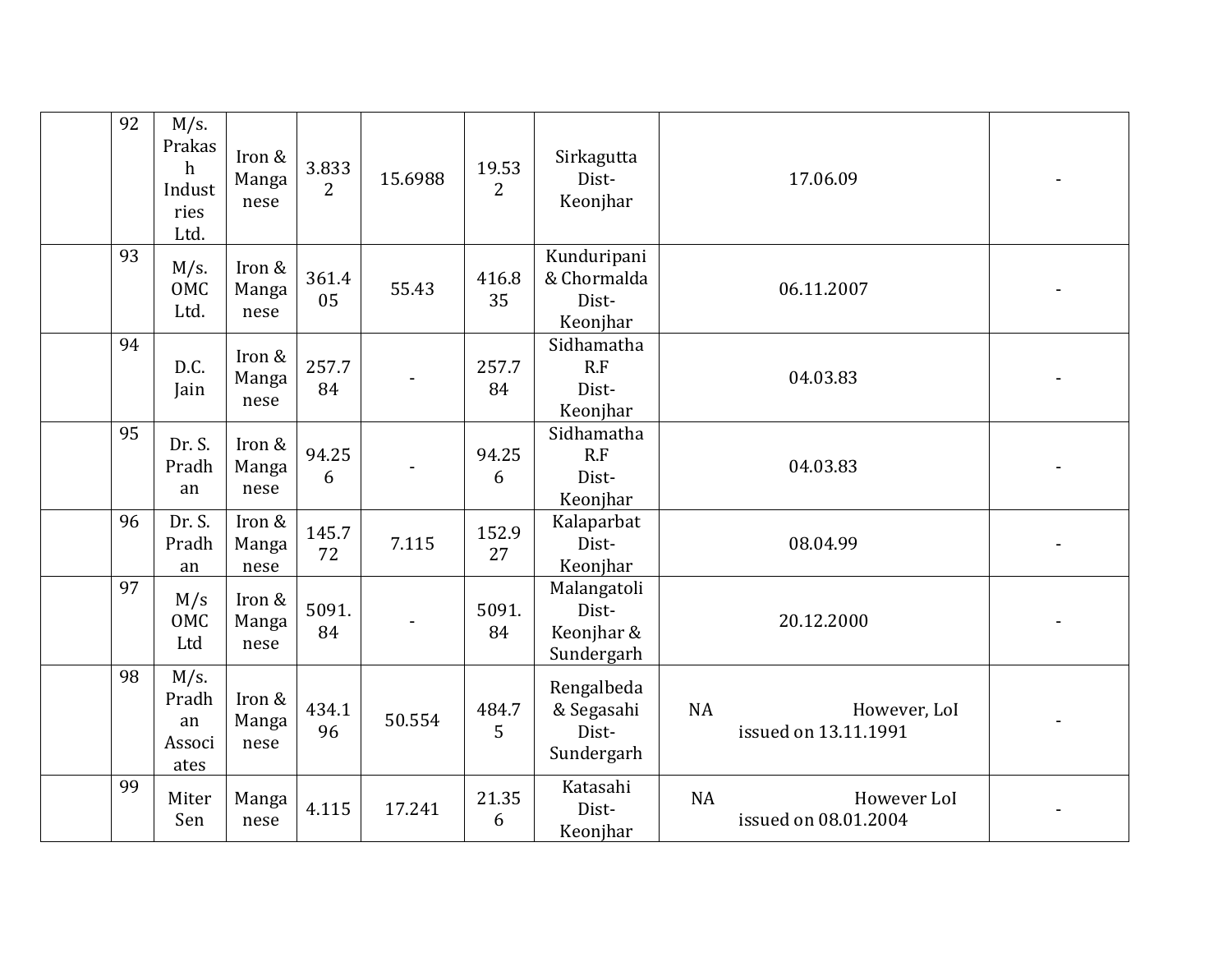| 92 | $M/s$ .<br>Prakas<br>$\mathbf h$<br>Indust<br>ries<br>Ltd. | Iron &<br>Manga<br>nese | 3.833<br>$\overline{2}$ | 15.6988 | 19.53<br>$\overline{2}$ | Sirkagutta<br>Dist-<br>Keonjhar                  | 17.06.09                                         |  |
|----|------------------------------------------------------------|-------------------------|-------------------------|---------|-------------------------|--------------------------------------------------|--------------------------------------------------|--|
| 93 | $M/s$ .<br>OMC<br>Ltd.                                     | Iron &<br>Manga<br>nese | 361.4<br>05             | 55.43   | 416.8<br>35             | Kunduripani<br>& Chormalda<br>Dist-<br>Keonjhar  | 06.11.2007                                       |  |
| 94 | D.C.<br>Jain                                               | Iron &<br>Manga<br>nese | 257.7<br>84             |         | 257.7<br>84             | Sidhamatha<br>R.F<br>Dist-<br>Keonjhar           | 04.03.83                                         |  |
| 95 | Dr. S.<br>Pradh<br>an                                      | Iron &<br>Manga<br>nese | 94.25<br>6              |         | 94.25<br>6              | Sidhamatha<br>R.F<br>Dist-<br>Keonjhar           | 04.03.83                                         |  |
| 96 | Dr. S.<br>Pradh<br>an                                      | Iron &<br>Manga<br>nese | 145.7<br>72             | 7.115   | 152.9<br>27             | Kalaparbat<br>Dist-<br>Keonjhar                  | 08.04.99                                         |  |
| 97 | M/s<br>OMC<br>Ltd                                          | Iron &<br>Manga<br>nese | 5091.<br>84             |         | 5091.<br>84             | Malangatoli<br>Dist-<br>Keonjhar &<br>Sundergarh | 20.12.2000                                       |  |
| 98 | M/s.<br>Pradh<br>an<br>Associ<br>ates                      | Iron &<br>Manga<br>nese | 434.1<br>96             | 50.554  | 484.7<br>5              | Rengalbeda<br>& Segasahi<br>Dist-<br>Sundergarh  | NA<br>However, LoI<br>issued on 13.11.1991       |  |
| 99 | Miter<br>Sen                                               | Manga<br>nese           | 4.115                   | 17.241  | 21.35<br>6              | Katasahi<br>Dist-<br>Keonjhar                    | <b>NA</b><br>However LoI<br>issued on 08.01.2004 |  |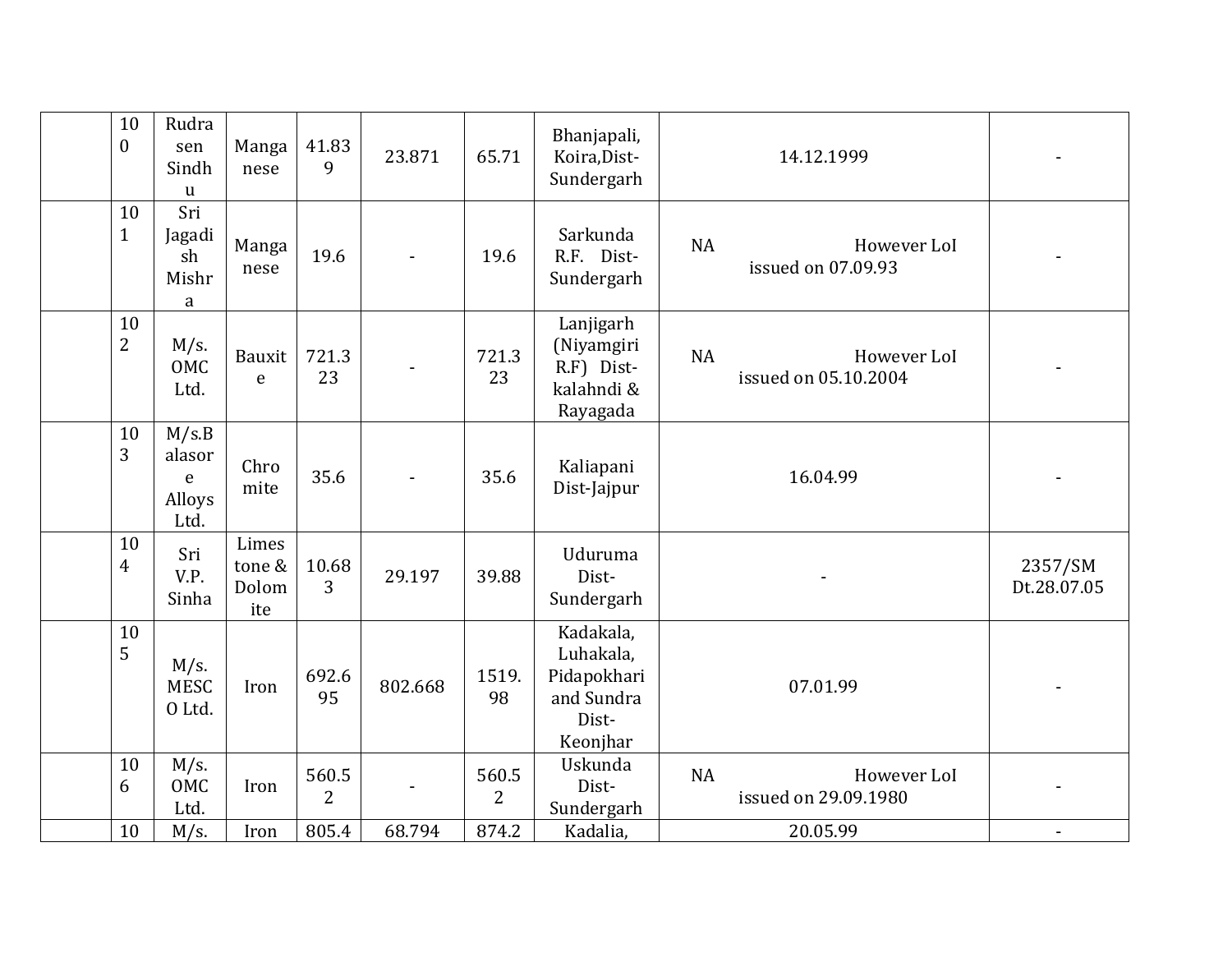| 10<br>$\boldsymbol{0}$ | Rudra<br>sen<br>Sindh<br>$\mathbf u$             | Manga<br>nese                   | 41.83<br>9              | 23.871  | 65.71                   | Bhanjapali,<br>Koira, Dist-<br>Sundergarh                                | 14.12.1999                                       |                        |
|------------------------|--------------------------------------------------|---------------------------------|-------------------------|---------|-------------------------|--------------------------------------------------------------------------|--------------------------------------------------|------------------------|
| 10<br>$\mathbf{1}$     | Sri<br>Jagadi<br>sh<br>Mishr<br>$\rm{a}$         | Manga<br>nese                   | 19.6                    |         | 19.6                    | Sarkunda<br>R.F. Dist-<br>Sundergarh                                     | <b>NA</b><br>However LoI<br>issued on 07.09.93   |                        |
| 10<br>$\overline{2}$   | $M/s$ .<br>OMC<br>Ltd.                           | Bauxit<br>$\mathsf e$           | 721.3<br>23             |         | 721.3<br>23             | Lanjigarh<br>(Niyamgiri<br>R.F) Dist-<br>kalahndi &<br>Rayagada          | <b>NA</b><br>However LoI<br>issued on 05.10.2004 |                        |
| 10<br>3                | M/s.B<br>alasor<br>$\mathsf e$<br>Alloys<br>Ltd. | Chro<br>mite                    | 35.6                    |         | 35.6                    | Kaliapani<br>Dist-Jajpur                                                 | 16.04.99                                         |                        |
| 10<br>$\overline{4}$   | Sri<br>V.P.<br>Sinha                             | Limes<br>tone &<br>Dolom<br>ite | 10.68<br>3              | 29.197  | 39.88                   | Uduruma<br>Dist-<br>Sundergarh                                           |                                                  | 2357/SM<br>Dt.28.07.05 |
| 10<br>5                | $M/s$ .<br><b>MESC</b><br>O Ltd.                 | Iron                            | 692.6<br>95             | 802.668 | 1519.<br>98             | Kadakala,<br>Luhakala,<br>Pidapokhari<br>and Sundra<br>Dist-<br>Keonjhar | 07.01.99                                         |                        |
| 10<br>6                | $M/s$ .<br>OMC<br>Ltd.                           | Iron                            | 560.5<br>$\overline{2}$ |         | 560.5<br>$\overline{2}$ | Uskunda<br>Dist-<br>Sundergarh                                           | <b>NA</b><br>However LoI<br>issued on 29.09.1980 |                        |
| 10                     | $M/s$ .                                          | Iron                            | 805.4                   | 68.794  | 874.2                   | Kadalia,                                                                 | 20.05.99                                         |                        |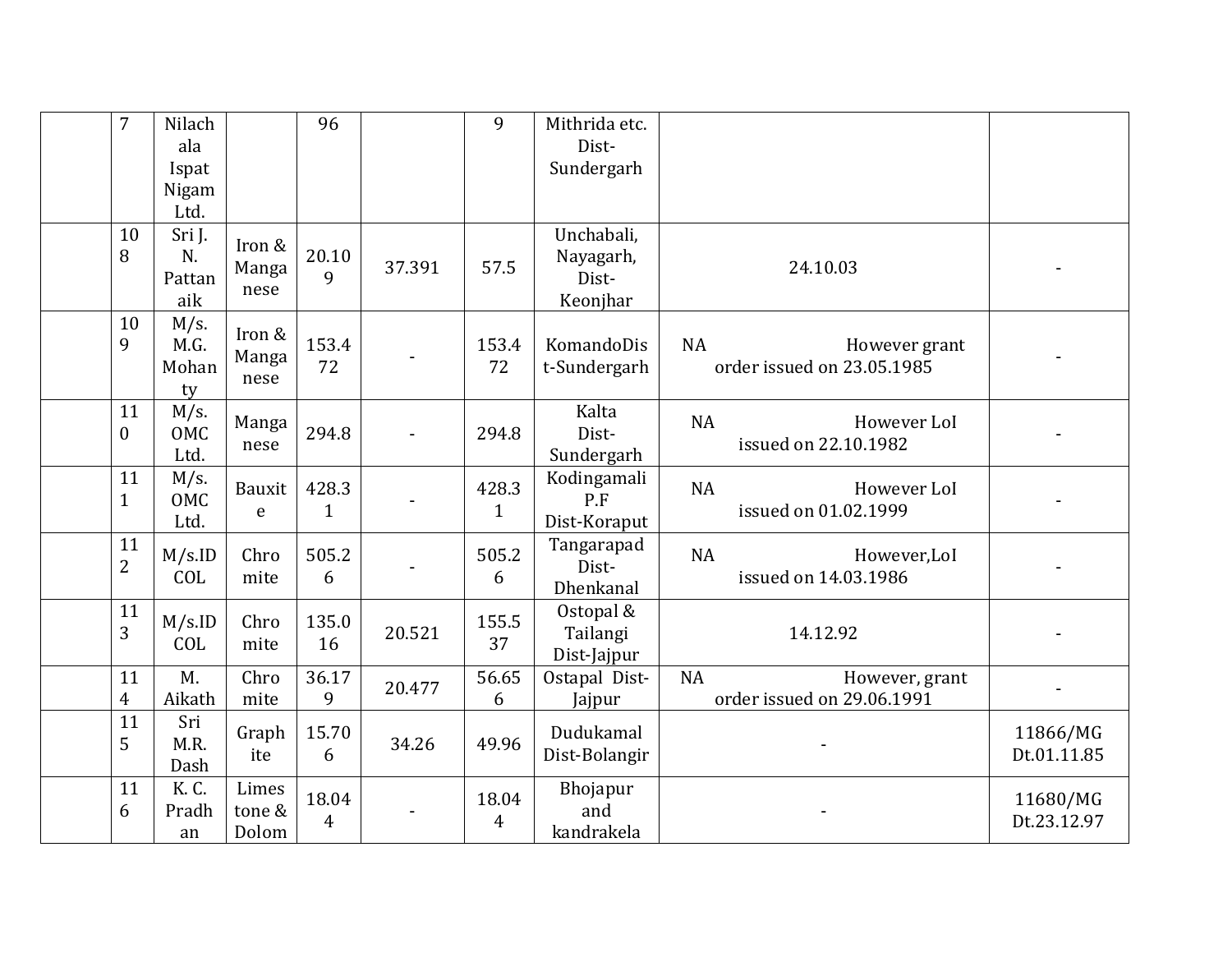| $\overline{7}$       | Nilach                         |                          | 96                    |        | 9                       | Mithrida etc.                                |                                                          |                         |
|----------------------|--------------------------------|--------------------------|-----------------------|--------|-------------------------|----------------------------------------------|----------------------------------------------------------|-------------------------|
|                      | ala                            |                          |                       |        |                         | Dist-                                        |                                                          |                         |
|                      | Ispat                          |                          |                       |        |                         | Sundergarh                                   |                                                          |                         |
|                      | Nigam                          |                          |                       |        |                         |                                              |                                                          |                         |
|                      | Ltd.                           |                          |                       |        |                         |                                              |                                                          |                         |
| 10<br>8              | Sri J.<br>N.<br>Pattan<br>aik  | Iron &<br>Manga<br>nese  | 20.10<br>9            | 37.391 | 57.5                    | Unchabali,<br>Nayagarh,<br>Dist-<br>Keonjhar | 24.10.03                                                 |                         |
| 10<br>9              | $M/s$ .<br>M.G.<br>Mohan<br>ty | Iron &<br>Manga<br>nese  | 153.4<br>72           |        | 153.4<br>72             | KomandoDis<br>t-Sundergarh                   | <b>NA</b><br>However grant<br>order issued on 23.05.1985 |                         |
| 11<br>$\mathbf{0}$   | $M/s$ .<br>OMC<br>Ltd.         | Manga<br>nese            | 294.8                 |        | 294.8                   | Kalta<br>Dist-<br>Sundergarh                 | <b>NA</b><br>However LoI<br>issued on 22.10.1982         |                         |
| 11<br>$\mathbf{1}$   | $M/s$ .<br>OMC<br>Ltd.         | Bauxit<br>e              | 428.3<br>$\mathbf{1}$ |        | 428.3<br>$\mathbf{1}$   | Kodingamali<br>P.F<br>Dist-Koraput           | <b>NA</b><br>However LoI<br>issued on 01.02.1999         |                         |
| 11<br>$\overline{2}$ | M/s.ID<br>COL                  | Chro<br>mite             | 505.2<br>6            |        | 505.2<br>6              | Tangarapad<br>Dist-<br>Dhenkanal             | <b>NA</b><br>However,LoI<br>issued on 14.03.1986         |                         |
| 11<br>3              | M/s.ID<br>COL                  | Chro<br>mite             | 135.0<br>16           | 20.521 | 155.5<br>37             | Ostopal &<br>Tailangi<br>Dist-Jajpur         | 14.12.92                                                 |                         |
| 11<br>$\overline{4}$ | M.<br>Aikath                   | Chro<br>mite             | 36.17<br>9            | 20.477 | 56.65<br>6              | Ostapal Dist-<br>Jajpur                      | NA<br>However, grant<br>order issued on 29.06.1991       |                         |
| 11<br>5              | Sri<br>M.R.<br>Dash            | Graph<br>ite             | 15.70<br>6            | 34.26  | 49.96                   | Dudukamal<br>Dist-Bolangir                   |                                                          | 11866/MG<br>Dt.01.11.85 |
| 11<br>6              | K. C.<br>Pradh<br>an           | Limes<br>tone &<br>Dolom | 18.04<br>4            |        | 18.04<br>$\overline{4}$ | Bhojapur<br>and<br>kandrakela                |                                                          | 11680/MG<br>Dt.23.12.97 |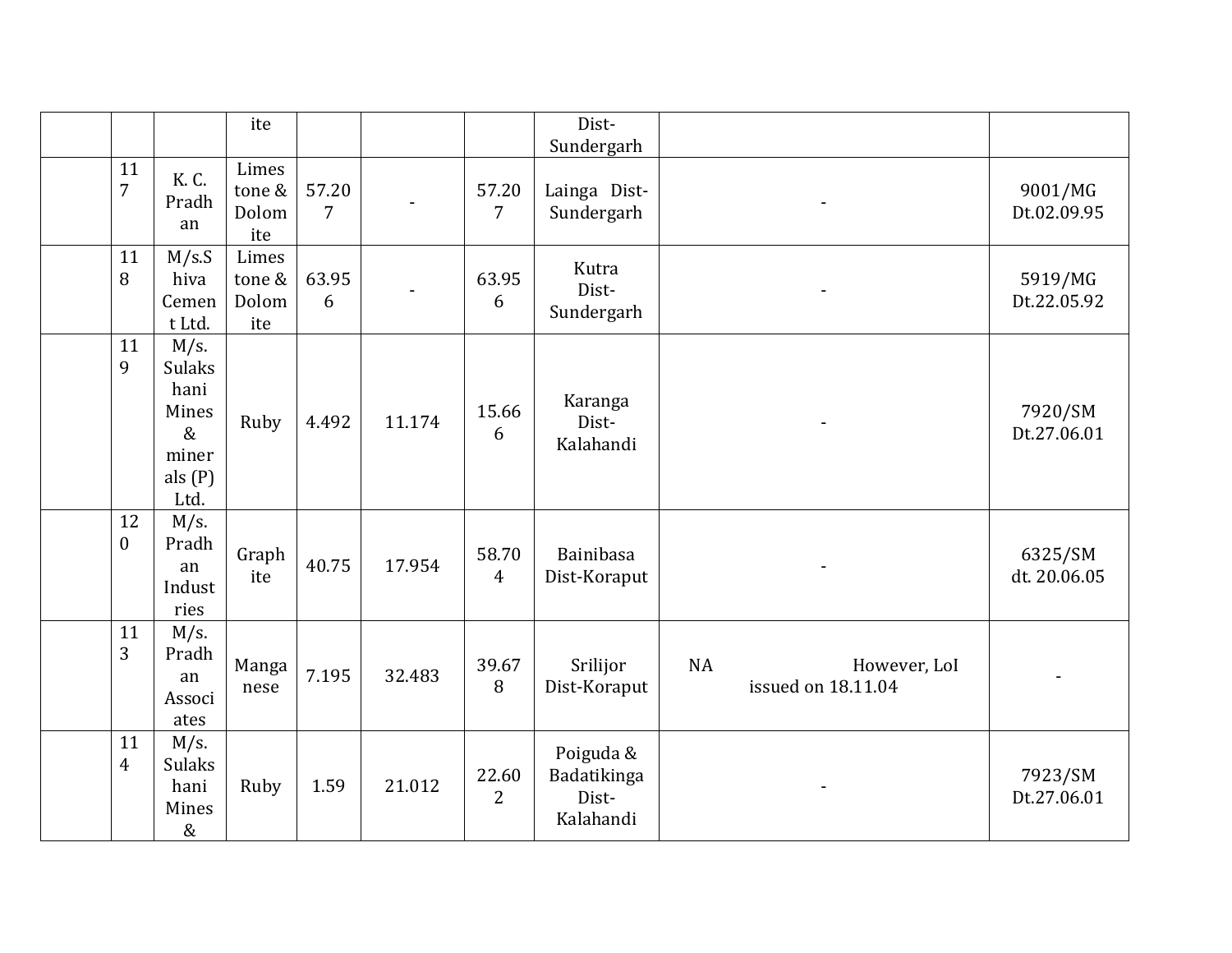|                      |                                                                                 | ite                             |            |        |                         | Dist-<br>Sundergarh                            |           |                                    |                         |
|----------------------|---------------------------------------------------------------------------------|---------------------------------|------------|--------|-------------------------|------------------------------------------------|-----------|------------------------------------|-------------------------|
| 11<br>$\overline{7}$ | K. C.<br>Pradh<br>an                                                            | Limes<br>tone &<br>Dolom<br>ite | 57.20<br>7 |        | 57.20<br>$\overline{7}$ | Lainga Dist-<br>Sundergarh                     |           |                                    | 9001/MG<br>Dt.02.09.95  |
| 11<br>8              | M/s.S<br>hiva<br>Cemen<br>t Ltd.                                                | Limes<br>tone &<br>Dolom<br>ite | 63.95<br>6 |        | 63.95<br>6              | Kutra<br>Dist-<br>Sundergarh                   |           |                                    | 5919/MG<br>Dt.22.05.92  |
| 11<br>9              | $M/s$ .<br><b>Sulaks</b><br>hani<br>Mines<br>$\&$<br>miner<br>als $(P)$<br>Ltd. | Ruby                            | 4.492      | 11.174 | 15.66<br>6              | Karanga<br>Dist-<br>Kalahandi                  |           |                                    | 7920/SM<br>Dt.27.06.01  |
| 12<br>$\overline{0}$ | $M/s$ .<br>Pradh<br>an<br>Indust<br>ries                                        | Graph<br>ite                    | 40.75      | 17.954 | 58.70<br>$\overline{4}$ | <b>Bainibasa</b><br>Dist-Koraput               |           |                                    | 6325/SM<br>dt. 20.06.05 |
| 11<br>3              | M/s.<br>Pradh<br>an<br>Associ<br>ates                                           | Manga<br>nese                   | 7.195      | 32.483 | 39.67<br>8              | Srilijor<br>Dist-Koraput                       | <b>NA</b> | However, LoI<br>issued on 18.11.04 |                         |
| 11<br>$\overline{4}$ | $M/s$ .<br><b>Sulaks</b><br>hani<br>Mines<br>$\&$                               | Ruby                            | 1.59       | 21.012 | 22.60<br>$\overline{2}$ | Poiguda &<br>Badatikinga<br>Dist-<br>Kalahandi |           |                                    | 7923/SM<br>Dt.27.06.01  |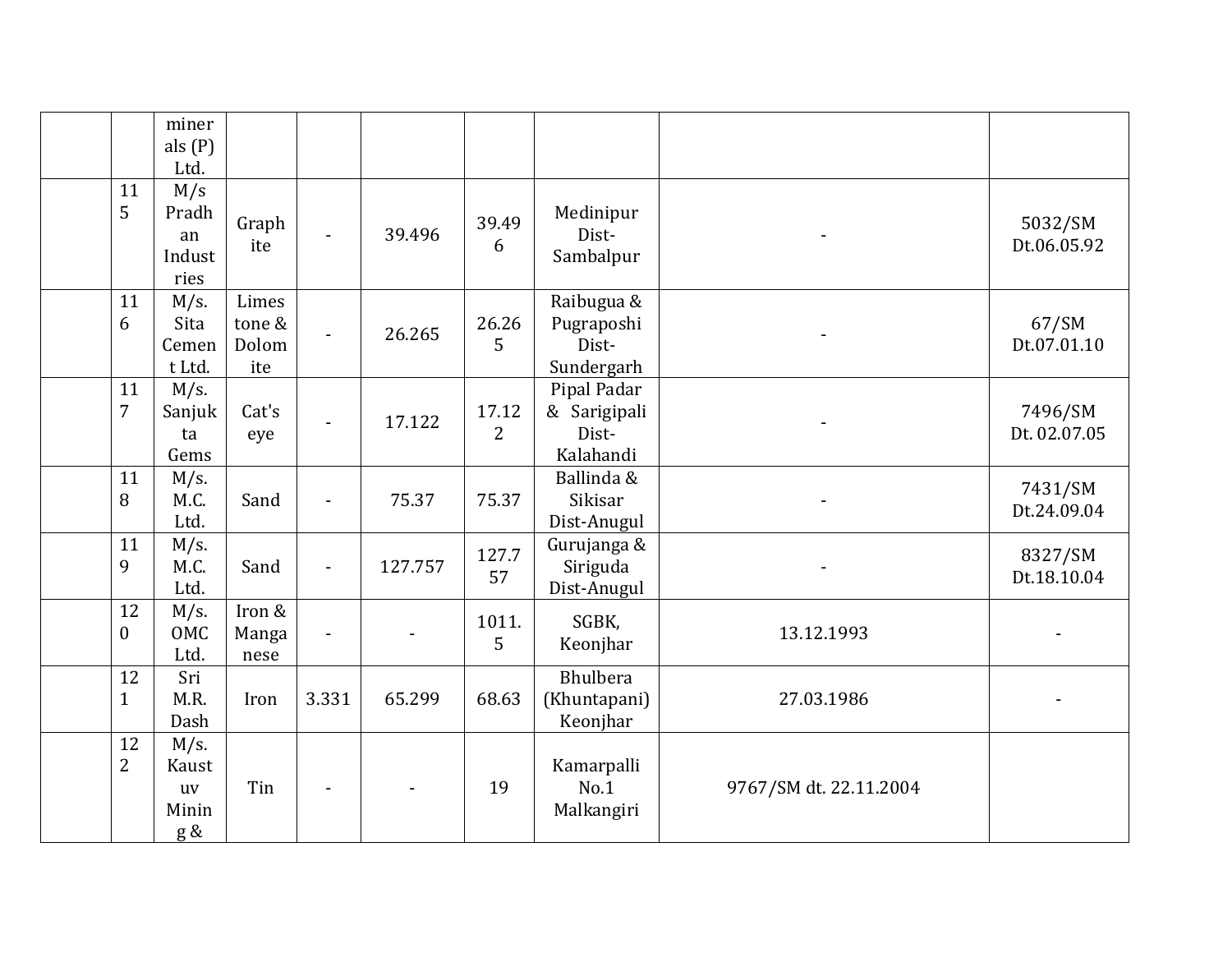|                      | miner<br>als $(P)$<br>Ltd.                    |                                 |                |         |                         |                                                   |                        |                         |
|----------------------|-----------------------------------------------|---------------------------------|----------------|---------|-------------------------|---------------------------------------------------|------------------------|-------------------------|
| 11<br>5              | M/s<br>Pradh<br>an<br>Indust<br>ries          | Graph<br>ite                    | $\blacksquare$ | 39.496  | 39.49<br>6              | Medinipur<br>Dist-<br>Sambalpur                   |                        | 5032/SM<br>Dt.06.05.92  |
| 11<br>6              | $M/s$ .<br>Sita<br>Cemen<br>t Ltd.            | Limes<br>tone &<br>Dolom<br>ite | $\overline{a}$ | 26.265  | 26.26<br>5              | Raibugua &<br>Pugraposhi<br>Dist-<br>Sundergarh   |                        | 67/SM<br>Dt.07.01.10    |
| 11<br>$\overline{7}$ | $M/s$ .<br>Sanjuk<br>ta<br>Gems               | Cat's<br>eye                    | $\blacksquare$ | 17.122  | 17.12<br>$\overline{2}$ | Pipal Padar<br>& Sarigipali<br>Dist-<br>Kalahandi |                        | 7496/SM<br>Dt. 02.07.05 |
| 11<br>8              | M/s.<br>M.C.<br>Ltd.                          | Sand                            | $\blacksquare$ | 75.37   | 75.37                   | Ballinda &<br>Sikisar<br>Dist-Anugul              |                        | 7431/SM<br>Dt.24.09.04  |
| 11<br>9              | $M/s$ .<br>M.C.<br>Ltd.                       | Sand                            | $\blacksquare$ | 127.757 | 127.7<br>57             | Gurujanga &<br>Siriguda<br>Dist-Anugul            |                        | 8327/SM<br>Dt.18.10.04  |
| 12<br>$\mathbf{0}$   | M/s.<br>OMC<br>Ltd.                           | Iron &<br>Manga<br>nese         | $\blacksquare$ |         | 1011.<br>5              | SGBK,<br>Keonjhar                                 | 13.12.1993             |                         |
| 12<br>$\mathbf{1}$   | Sri<br>M.R.<br>Dash                           | Iron                            | 3.331          | 65.299  | 68.63                   | Bhulbera<br>(Khuntapani)<br>Keonjhar              | 27.03.1986             |                         |
| 12<br>$\overline{2}$ | $M/s$ .<br>Kaust<br><b>uv</b><br>Minin<br>g & | Tin                             |                |         | 19                      | Kamarpalli<br>No.1<br>Malkangiri                  | 9767/SM dt. 22.11.2004 |                         |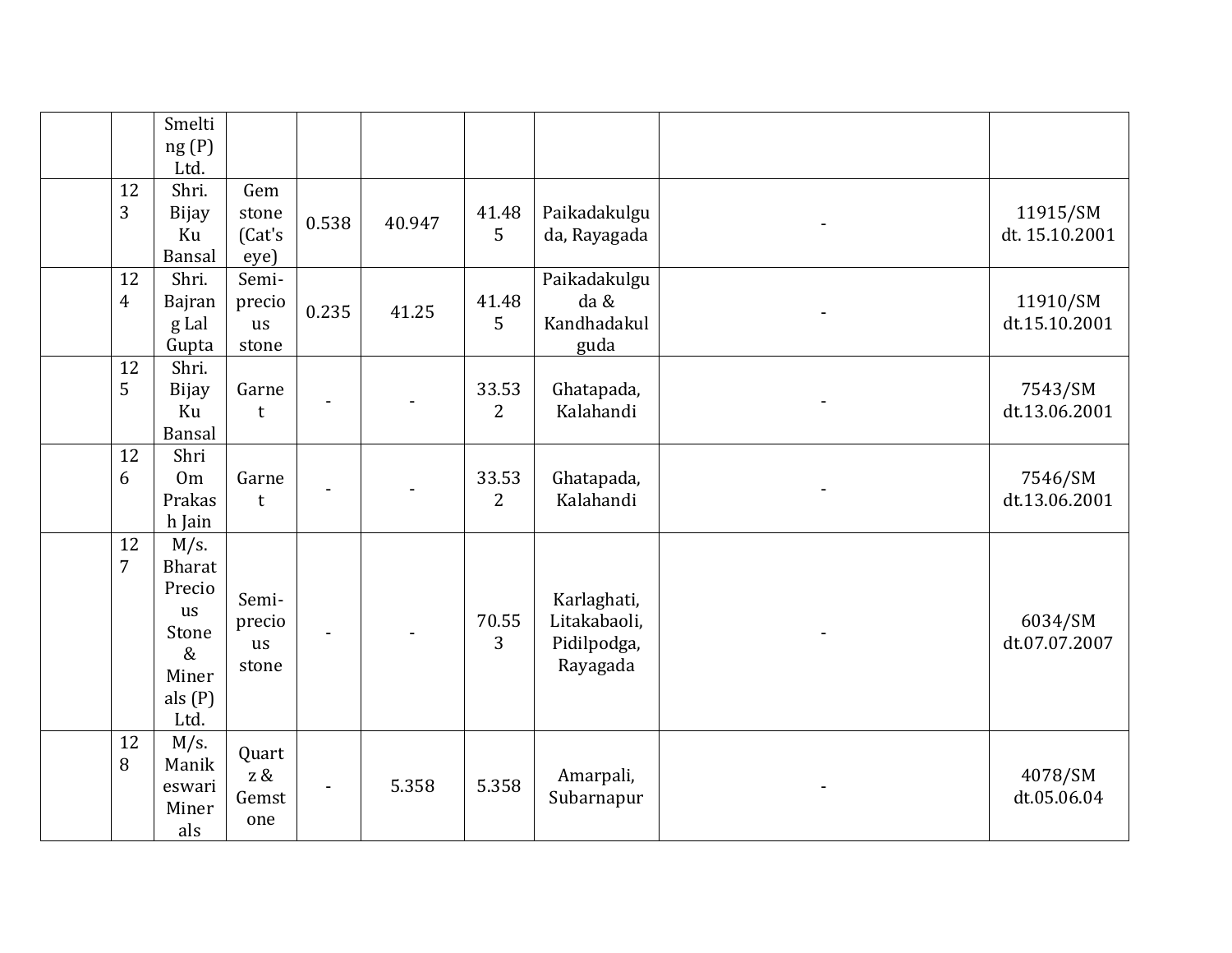|                      | Smelti<br>ng(P)<br>Ltd.                                                       |                                       |                |        |                         |                                                        |                            |
|----------------------|-------------------------------------------------------------------------------|---------------------------------------|----------------|--------|-------------------------|--------------------------------------------------------|----------------------------|
| 12<br>3              | Shri.<br><b>Bijay</b><br>Ku<br>Bansal                                         | Gem<br>stone<br>(Cat's<br>eye)        | 0.538          | 40.947 | 41.48<br>5              | Paikadakulgu<br>da, Rayagada                           | 11915/SM<br>dt. 15.10.2001 |
| 12<br>$\overline{4}$ | Shri.<br>Bajran<br>g Lal<br>Gupta                                             | Semi-<br>precio<br>us<br>stone        | 0.235          | 41.25  | 41.48<br>5              | Paikadakulgu<br>da &<br>Kandhadakul<br>guda            | 11910/SM<br>dt.15.10.2001  |
| 12<br>5              | Shri.<br><b>Bijay</b><br>Ku<br>Bansal                                         | Garne<br>t                            |                |        | 33.53<br>$\overline{2}$ | Ghatapada,<br>Kalahandi                                | 7543/SM<br>dt.13.06.2001   |
| 12<br>6              | Shri<br>0 <sub>m</sub><br>Prakas<br>h Jain                                    | Garne<br>t                            |                |        | 33.53<br>$\overline{2}$ | Ghatapada,<br>Kalahandi                                | 7546/SM<br>dt.13.06.2001   |
| 12<br>$\overline{7}$ | $M/s$ .<br>Bharat<br>Precio<br>us<br>Stone<br>$\&$<br>Miner<br>als(P)<br>Ltd. | Semi-<br>precio<br><b>us</b><br>stone |                |        | 70.55<br>3              | Karlaghati,<br>Litakabaoli,<br>Pidilpodga,<br>Rayagada | 6034/SM<br>dt.07.07.2007   |
| 12<br>8              | $M/s$ .<br>Manik<br>eswari<br>Miner<br>als                                    | Quart<br>$z \, \&$<br>Gemst<br>one    | $\blacksquare$ | 5.358  | 5.358                   | Amarpali,<br>Subarnapur                                | 4078/SM<br>dt.05.06.04     |